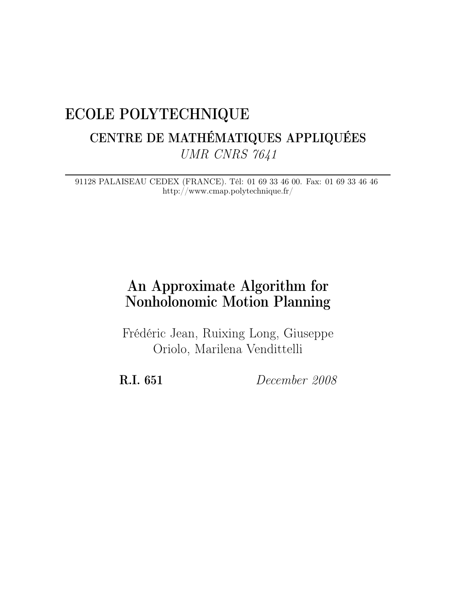# ECOLE POLYTECHNIQUE CENTRE DE MATHÉMATIQUES APPLIQUÉES UMR CNRS 7641

91128 PALAISEAU CEDEX (FRANCE). Tél: 01 69 33 46 00. Fax: 01 69 33 46 46 http://www.cmap.polytechnique.fr/

## An Approximate Algorithm for Nonholonomic Motion Planning

Frédéric Jean, Ruixing Long, Giuseppe Oriolo, Marilena Vendittelli

**R.I. 651** *December 2008*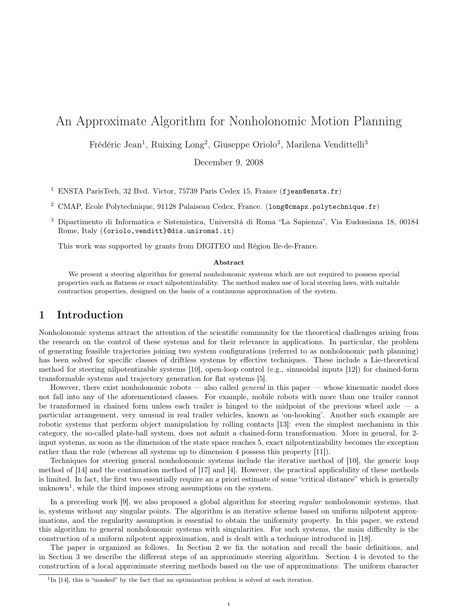## An Approximate Algorithm for Nonholonomic Motion Planning

Frédéric Jean<sup>1</sup>, Ruixing Long<sup>2</sup>, Giuseppe Oriolo<sup>3</sup>, Marilena Vendittelli<sup>3</sup>

December 9, 2008

<sup>1</sup> ENSTA ParisTech, 32 Bvd. Victor, 75739 Paris Cedex 15, France (fjean@ensta.fr)

<sup>2</sup> CMAP, Ecole Polytechnique, 91128 Palaiseau Cedex, France. (long@cmapx.polytechnique.fr)

<sup>3</sup> Dipartimento di Informatica e Sistemistica, Università di Roma "La Sapienza", Via Eudossiana 18, 00184 Rome, Italy ({oriolo,venditt}@dis.uniroma1.it)

This work was supported by grants from DIGITEO and Région Ile-de-France.

#### Abstract

We present a steering algorithm for general nonholonomic systems which are not required to possess special properties such as flatness or exact nilpotentizability. The method makes use of local steering laws, with suitable contraction properties, designed on the basis of a continuous approximation of the system.

## 1 Introduction

Nonholonomic systems attract the attention of the scientific community for the theoretical challenges arising from the research on the control of these systems and for their relevance in applications. In particular, the problem of generating feasible trajectories joining two system configurations (referred to as nonholonomic path planning) has been solved for specific classes of driftless systems by effective techniques. These include a Lie-theoretical method for steering nilpotentizable systems [10], open-loop control (e.g., sinusoidal inputs [12]) for chained-form transformable systems and trajectory generation for flat systems [5].

However, there exist nonholonomic robots — also called *general* in this paper — whose kinematic model does not fall into any of the aforementioned classes. For example, mobile robots with more than one trailer cannot be transformed in chained form unless each trailer is hinged to the midpoint of the previous wheel axle  $-$  a particular arrangement, very unusual in real trailer vehicles, known as 'on-hooking'. Another such example are robotic systems that perform object manipulation by rolling contacts [13]: even the simplest mechanism in this category, the so-called plate-ball system, does not admit a chained-form transformation. More in general, for 2 input systems, as soon as the dimension of the state space reaches 5, exact nilpotentizability becomes the exception rather than the rule (whereas all systems up to dimension 4 possess this property [11]).

Techniques for steering general nonholonomic systems include the iterative method of [10], the generic loop method of [14] and the continuation method of [17] and [4]. However, the practical applicability of these methods is limited. In fact, the first two essentially require an a priori estimate of some "critical distance" which is generally  $unknown<sup>1</sup>$ , while the third imposes strong assumptions on the system.

In a preceding work [9], we also proposed a global algorithm for steering *regular* nonholonomic systems, that is, systems without any singular points. The algorithm is an iterative scheme based on uniform nilpotent approximations, and the regularity assumption is essential to obtain the uniformity property. In this paper, we extend this algorithm to general nonholonomic systems with singularities. For such systems, the main difficulty is the construction of a uniform nilpotent approximation, and is dealt with a technique introduced in [18].

The paper is organized as follows. In Section 2 we fix the notation and recall the basic definitions, and in Section 3 we describe the different steps of an approximate steering algorithm. Section 4 is devoted to the construction of a local approximate steering methods based on the use of approximations. The uniform character

<sup>&</sup>lt;sup>1</sup>In [14], this is "masked" by the fact that an optimization problem is solved at each iteration.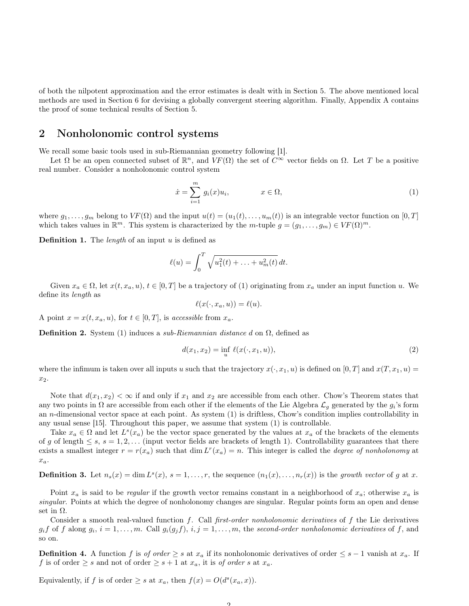of both the nilpotent approximation and the error estimates is dealt with in Section 5. The above mentioned local methods are used in Section 6 for devising a globally convergent steering algorithm. Finally, Appendix A contains the proof of some technical results of Section 5.

## 2 Nonholonomic control systems

We recall some basic tools used in sub-Riemannian geometry following [1].

Let  $\Omega$  be an open connected subset of  $\mathbb{R}^n$ , and  $VF(\Omega)$  the set of  $C^{\infty}$  vector fields on  $\Omega$ . Let T be a positive real number. Consider a nonholonomic control system

$$
\dot{x} = \sum_{i=1}^{m} g_i(x) u_i, \qquad x \in \Omega,
$$
\n(1)

where  $g_1, \ldots, g_m$  belong to  $VF(\Omega)$  and the input  $u(t) = (u_1(t), \ldots, u_m(t))$  is an integrable vector function on  $[0, T]$ which takes values in  $\mathbb{R}^m$ . This system is characterized by the m-tuple  $g = (g_1, \ldots, g_m) \in VF(\Omega)^m$ .

**Definition 1.** The *length* of an input  $u$  is defined as

$$
\ell(u) = \int_0^T \sqrt{u_1^2(t) + \ldots + u_m^2(t)} \, dt.
$$

Given  $x_a \in \Omega$ , let  $x(t, x_a, u)$ ,  $t \in [0, T]$  be a trajectory of (1) originating from  $x_a$  under an input function u. We define its length as

$$
\ell(x(\cdot, x_a, u)) = \ell(u).
$$

A point  $x = x(t, x_a, u)$ , for  $t \in [0, T]$ , is accessible from  $x_a$ .

**Definition 2.** System (1) induces a *sub-Riemannian distance d* on  $\Omega$ , defined as

$$
d(x_1, x_2) = \inf_{u} \ell(x(\cdot, x_1, u)),
$$
\n(2)

where the infimum is taken over all inputs u such that the trajectory  $x(\cdot, x_1, u)$  is defined on [0, T] and  $x(T, x_1, u)$ x2.

Note that  $d(x_1, x_2) < \infty$  if and only if  $x_1$  and  $x_2$  are accessible from each other. Chow's Theorem states that any two points in  $\Omega$  are accessible from each other if the elements of the Lie Algebra  $\mathcal{L}_g$  generated by the  $g_i$ 's form an *n*-dimensional vector space at each point. As system  $(1)$  is driftless, Chow's condition implies controllability in any usual sense [15]. Throughout this paper, we assume that system (1) is controllable.

Take  $x_a \in \Omega$  and let  $L^s(x_a)$  be the vector space generated by the values at  $x_a$  of the brackets of the elements of g of length  $\leq s, s = 1, 2, \ldots$  (input vector fields are brackets of length 1). Controllability guarantees that there exists a smallest integer  $r = r(x_a)$  such that dim  $L^r(x_a) = n$ . This integer is called the *degree of nonholonomy* at  $x_a$ .

**Definition 3.** Let  $n_s(x) = \dim L^s(x)$ ,  $s = 1, \ldots, r$ , the sequence  $(n_1(x), \ldots, n_r(x))$  is the growth vector of g at x.

Point  $x_a$  is said to be *regular* if the growth vector remains constant in a neighborhood of  $x_a$ ; otherwise  $x_a$  is singular. Points at which the degree of nonholonomy changes are singular. Regular points form an open and dense set in  $\Omega$ .

Consider a smooth real-valued function  $f$ . Call first-order nonholonomic derivatives of  $f$  the Lie derivatives  $g_i f$  of f along  $g_i$ ,  $i = 1, \ldots, m$ . Call  $g_i(g_j f)$ ,  $i, j = 1, \ldots, m$ , the second-order nonholonomic derivatives of f, and so on.

**Definition 4.** A function f is of order  $\geq s$  at  $x_a$  if its nonholonomic derivatives of order  $\leq s-1$  vanish at  $x_a$ . If f is of order  $\geq s$  and not of order  $\geq s+1$  at  $x_a$ , it is of order s at  $x_a$ .

າ

Equivalently, if f is of order  $\geq s$  at  $x_a$ , then  $f(x) = O(d^s(x_a, x))$ .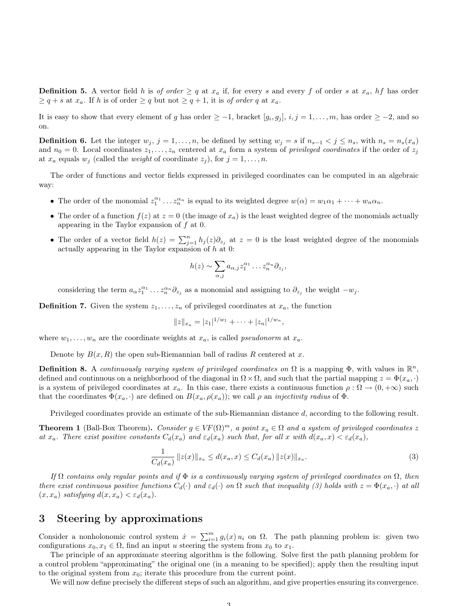**Definition 5.** A vector field h is of order  $\geq q$  at  $x_a$  if, for every s and every f of order s at  $x_a$ , hf has order  $\geq q + s$  at  $x_a$ . If h is of order  $\geq q$  but not  $\geq q + 1$ , it is of order q at  $x_a$ .

It is easy to show that every element of g has order  $\geq -1$ , bracket  $[g_i, g_j]$ ,  $i, j = 1, \ldots, m$ , has order  $\geq -2$ , and so on.

**Definition 6.** Let the integer  $w_j$ ,  $j = 1, \ldots, n$ , be defined by setting  $w_j = s$  if  $n_{s-1} < j \leq n_s$ , with  $n_s = n_s(x_a)$ and  $n_0 = 0$ . Local coordinates  $z_1, \ldots, z_n$  centered at  $x_a$  form a system of privileged coordinates if the order of  $z_j$ at  $x_a$  equals  $w_j$  (called the *weight* of coordinate  $z_j$ ), for  $j = 1, \ldots, n$ .

The order of functions and vector fields expressed in privileged coordinates can be computed in an algebraic way:

- The order of the monomial  $z_1^{\alpha_1} \dots z_n^{\alpha_n}$  is equal to its weighted degree  $w(\alpha) = w_1 \alpha_1 + \dots + w_n \alpha_n$ .
- The order of a function  $f(z)$  at  $z = 0$  (the image of  $x_a$ ) is the least weighted degree of the monomials actually appearing in the Taylor expansion of  $f$  at 0.
- The order of a vector field  $h(z) = \sum_{j=1}^{n} h_j(z) \partial_{z_j}$  at  $z = 0$  is the least weighted degree of the monomials actually appearing in the Taylor expansion of  $h$  at 0:

$$
h(z) \sim \sum_{\alpha,j} a_{\alpha,j} z_1^{\alpha_1} \dots z_n^{\alpha_n} \partial_{z_j},
$$

considering the term  $a_{\alpha}z_1^{\alpha_1}\dots z_n^{\alpha_n}\partial_{z_j}$  as a monomial and assigning to  $\partial_{z_j}$  the weight  $-w_j$ .

**Definition 7.** Given the system  $z_1, \ldots, z_n$  of privileged coordinates at  $x_a$ , the function

$$
||z||_{x_a} = |z_1|^{1/w_1} + \cdots + |z_n|^{1/w_n},
$$

where  $w_1, \ldots, w_n$  are the coordinate weights at  $x_a$ , is called *pseudonorm* at  $x_a$ .

Denote by  $B(x, R)$  the open sub-Riemannian ball of radius R centered at x.

**Definition 8.** A continuously varying system of privileged coordinates on  $\Omega$  is a mapping  $\Phi$ , with values in  $\mathbb{R}^n$ , defined and continuous on a neighborhood of the diagonal in  $\Omega \times \Omega$ , and such that the partial mapping  $z = \Phi(x_a, \cdot)$ is a system of privileged coordinates at  $x_a$ . In this case, there exists a continuous function  $\rho : \Omega \to (0, +\infty)$  such that the coordinates  $\Phi(x_a, \cdot)$  are defined on  $B(x_a, \rho(x_a))$ ; we call  $\rho$  an *injectivity radius* of  $\Phi$ .

Privileged coordinates provide an estimate of the sub-Riemannian distance d, according to the following result.

**Theorem 1** (Ball-Box Theorem). Consider  $g \in VF(\Omega)^m$ , a point  $x_a \in \Omega$  and a system of privileged coordinates z at  $x_a$ . There exist positive constants  $C_d(x_a)$  and  $\varepsilon_d(x_a)$  such that, for all x with  $d(x_a, x) < \varepsilon_d(x_a)$ ,

$$
\frac{1}{C_d(x_a)} \|z(x)\|_{x_a} \le d(x_a, x) \le C_d(x_a) \|z(x)\|_{x_a}.
$$
\n(3)

If  $\Omega$  contains only regular points and if  $\Phi$  is a continuously varying system of privileged coordinates on  $\Omega$ , then there exist continuous positive functions  $C_d(\cdot)$  and  $\varepsilon_d(\cdot)$  on  $\Omega$  such that inequality (3) holds with  $z = \Phi(x_a, \cdot)$  at all  $(x, x_a)$  satisfying  $d(x, x_a) < \varepsilon_d(x_a)$ .

## 3 Steering by approximations

Consider a nonholonomic control system  $\dot{x} = \sum_{i=1}^{m} g_i(x) u_i$  on  $\Omega$ . The path planning problem is: given two configurations  $x_0, x_1 \in \Omega$ , find an input u steering the system from  $x_0$  to  $x_1$ .

The principle of an approximate steering algorithm is the following. Solve first the path planning problem for a control problem "approximating" the original one (in a meaning to be specified); apply then the resulting input to the original system from  $x_0$ ; iterate this procedure from the current point.

 $\overline{Q}$ 

We will now define precisely the different steps of such an algorithm, and give properties ensuring its convergence.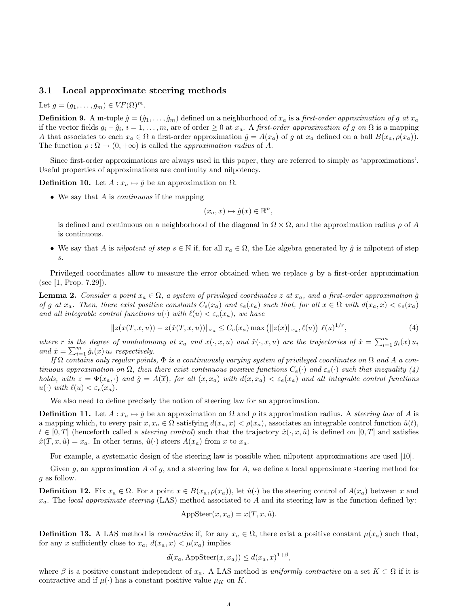#### 3.1 Local approximate steering methods

Let  $g = (g_1, \ldots, g_m) \in VF(\Omega)^m$ .

**Definition 9.** A m-tuple  $\hat{g} = (\hat{g}_1, \ldots, \hat{g}_m)$  defined on a neighborhood of  $x_a$  is a first-order approximation of g at  $x_a$ if the vector fields  $g_i - \hat{g}_i$ ,  $i = 1, \ldots, m$ , are of order  $\geq 0$  at  $x_a$ . A *first-order approximation of g on*  $\Omega$  is a mapping A that associates to each  $x_a \in \Omega$  a first-order approximation  $\hat{g} = A(x_a)$  of g at  $x_a$  defined on a ball  $B(x_a, \rho(x_a))$ . The function  $\rho : \Omega \to (0, +\infty)$  is called the *approximation radius* of A.

Since first-order approximations are always used in this paper, they are referred to simply as 'approximations'. Useful properties of approximations are continuity and nilpotency.

**Definition 10.** Let  $A: x_a \mapsto \hat{g}$  be an approximation on  $\Omega$ .

• We say that  $A$  is *continuous* if the mapping

$$
(x_a, x) \mapsto \hat{g}(x) \in \mathbb{R}^n,
$$

is defined and continuous on a neighborhood of the diagonal in  $\Omega \times \Omega$ , and the approximation radius  $\rho$  of A is continuous.

• We say that A is nilpotent of step  $s \in \mathbb{N}$  if, for all  $x_a \in \Omega$ , the Lie algebra generated by  $\hat{g}$  is nilpotent of step s.

Privileged coordinates allow to measure the error obtained when we replace g by a first-order approximation (see [1, Prop. 7.29]).

**Lemma 2.** Consider a point  $x_a \in \Omega$ , a system of privileged coordinates z at  $x_a$ , and a first-order approximation  $\hat{g}$ of g at  $x_a$ . Then, there exist positive constants  $C_e(x_a)$  and  $\varepsilon_e(x_a)$  such that, for all  $x \in \Omega$  with  $d(x_a, x) < \varepsilon_e(x_a)$ and all integrable control functions  $u(\cdot)$  with  $\ell(u) < \varepsilon_e(x_a)$ , we have

$$
||z(x(T, x, u)) - z(\hat{x}(T, x, u))||_{x_a} \le C_e(x_a) \max (||z(x)||_{x_a}, \ell(u)) \ell(u)^{1/r},
$$
\n(4)

where r is the degree of nonholonomy at  $x_a$  and  $x(\cdot, x, u)$  and  $\hat{x}(\cdot, x, u)$  are the trajectories of  $\hat{x} = \sum_{i=1}^m g_i(x) u_i$ and  $\dot{x} = \sum_{i=1}^{m} \hat{g}_i(x) u_i$  respectively.

If  $\Omega$  contains only regular points,  $\Phi$  is a continuously varying system of privileged coordinates on  $\Omega$  and A a continuous approximation on  $\Omega$ , then there exist continuous positive functions  $C_e(\cdot)$  and  $\varepsilon_e(\cdot)$  such that inequality (4) holds, with  $z = \Phi(x_a, \cdot)$  and  $\hat{g} = A(\overline{x})$ , for all  $(x, x_a)$  with  $d(x, x_a) < \varepsilon_e(x_a)$  and all integrable control functions  $u(\cdot)$  with  $\ell(u) < \varepsilon_e(x_a)$ .

We also need to define precisely the notion of steering law for an approximation.

**Definition 11.** Let  $A: x_a \mapsto \hat{q}$  be an approximation on  $\Omega$  and  $\rho$  its approximation radius. A steering law of A is a mapping which, to every pair  $x, x_a \in \Omega$  satisfying  $d(x_a, x) < \rho(x_a)$ , associates an integrable control function  $\hat{u}(t)$ ,  $t \in [0,T]$  (henceforth called a *steering control*) such that the trajectory  $\hat{x}(\cdot, x, \hat{u})$  is defined on [0, T] and satisfies  $\hat{x}(T, x, \hat{u}) = x_a$ . In other terms,  $\hat{u}(\cdot)$  steers  $A(x_a)$  from x to  $x_a$ .

For example, a systematic design of the steering law is possible when nilpotent approximations are used [10].

Given g, an approximation A of g, and a steering law for A, we define a local approximate steering method for g as follow.

**Definition 12.** Fix  $x_a \in \Omega$ . For a point  $x \in B(x_a, \rho(x_a))$ , let  $\hat{u}(\cdot)$  be the steering control of  $A(x_a)$  between x and  $x_a$ . The local approximate steering (LAS) method associated to A and its steering law is the function defined by:

$$
AppSteer(x, x_a) = x(T, x, \hat{u}).
$$

**Definition 13.** A LAS method is *contractive* if, for any  $x_a \in \Omega$ , there exist a positive constant  $\mu(x_a)$  such that, for any x sufficiently close to  $x_a$ ,  $d(x_a, x) < \mu(x_a)$  implies

$$
d(x_a, \text{AppSteer}(x, x_a)) \le d(x_a, x)^{1+\beta},
$$

where  $\beta$  is a positive constant independent of  $x_a$ . A LAS method is uniformly contractive on a set  $K \subset \Omega$  if it is contractive and if  $\mu(\cdot)$  has a constant positive value  $\mu_K$  on K.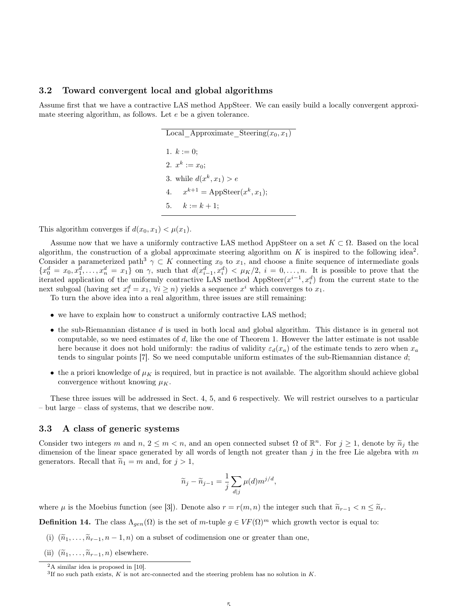#### 3.2 Toward convergent local and global algorithms

Assume first that we have a contractive LAS method AppSteer. We can easily build a locally convergent approximate steering algorithm, as follows. Let  $e$  be a given tolerance.

> Local Approximate Steering $(x_0, x_1)$ 1.  $k := 0$ ; 2.  $x^k := x_0;$ 3. while  $d(x^k, x_1) > e$ 4.  $x^{k+1} = \text{AppSteer}(x^k, x_1);$ 5.  $k := k + 1;$

This algorithm converges if  $d(x_0, x_1) < \mu(x_1)$ .

Assume now that we have a uniformly contractive LAS method AppSteer on a set  $K \subset \Omega$ . Based on the local algorithm, the construction of a global approximate steering algorithm on K is inspired to the following idea<sup>2</sup>. Consider a parameterized path<sup>3</sup>  $\gamma \subset K$  connecting  $x_0$  to  $x_1$ , and choose a finite sequence of intermediate goals  ${x_0^d = x_0, x_1^d, \ldots, x_n^d = x_1}$  on  $\gamma$ , such that  $d(x_{i-1}^d, x_i^d) < \mu_K/2$ ,  $i = 0, \ldots, n$ . It is possible to prove that the iterated application of the uniformly contractive LAS method AppSteer $(x^{i-1}, x_i^d)$  from the current state to the next subgoal (having set  $x_i^d = x_1$ ,  $\forall i \geq n$ ) yields a sequence  $x^i$  which converges to  $x_1$ .

To turn the above idea into a real algorithm, three issues are still remaining:

- we have to explain how to construct a uniformly contractive LAS method;
- the sub-Riemannian distance d is used in both local and global algorithm. This distance is in general not computable, so we need estimates of d, like the one of Theorem 1. However the latter estimate is not usable here because it does not hold uniformly: the radius of validity  $\varepsilon_d(x_a)$  of the estimate tends to zero when  $x_a$ tends to singular points  $[7]$ . So we need computable uniform estimates of the sub-Riemannian distance  $d$ ;
- the a priori knowledge of  $\mu_K$  is required, but in practice is not available. The algorithm should achieve global convergence without knowing  $\mu_K$ .

These three issues will be addressed in Sect. 4, 5, and 6 respectively. We will restrict ourselves to a particular – but large – class of systems, that we describe now.

#### 3.3 A class of generic systems

Consider two integers m and n,  $2 \leq m < n$ , and an open connected subset  $\Omega$  of  $\mathbb{R}^n$ . For  $j \geq 1$ , denote by  $\widetilde{n}_j$  the dimension of the linear grace generated by all words of length not greater than i in the fre dimension of the linear space generated by all words of length not greater than  $j$  in the free Lie algebra with  $m$ generators. Recall that  $\widetilde{n}_1 = m$  and, for  $j > 1$ ,

$$
\widetilde{n}_j - \widetilde{n}_{j-1} = \frac{1}{j} \sum_{d|j} \mu(d) m^{j/d},
$$

5

where  $\mu$  is the Moebius function (see [3]). Denote also  $r = r(m, n)$  the integer such that  $\widetilde{n}_{r-1} < n \leq \widetilde{n}_r$ .

**Definition 14.** The class  $\Lambda_{gen}(\Omega)$  is the set of m-tuple  $q \in VF(\Omega)^m$  which growth vector is equal to:

- (i)  $(\tilde{n}_1, \ldots, \tilde{n}_{r-1}, n-1, n)$  on a subset of codimension one or greater than one,
- (ii)  $(\widetilde{n}_1, \ldots, \widetilde{n}_{r-1}, n)$  elsewhere.

<sup>2</sup>A similar idea is proposed in [10].

 ${}^{3}$ If no such path exists, K is not arc-connected and the steering problem has no solution in K.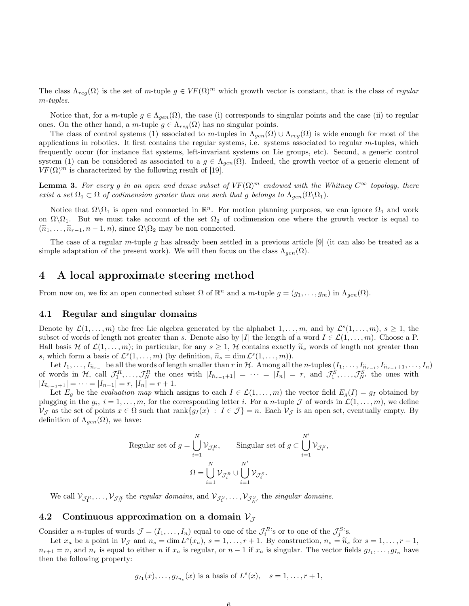The class  $\Lambda_{reg}(\Omega)$  is the set of m-tuple  $g \in VF(\Omega)^m$  which growth vector is constant, that is the class of regular m-tuples.

Notice that, for a m-tuple  $g \in \Lambda_{gen}(\Omega)$ , the case (i) corresponds to singular points and the case (ii) to regular ones. On the other hand, a m-tuple  $g \in \Lambda_{req}(\Omega)$  has no singular points.

The class of control systems (1) associated to m-tuples in  $\Lambda_{gen}(\Omega) \cup \Lambda_{reg}(\Omega)$  is wide enough for most of the applications in robotics. It first contains the regular systems, i.e. systems associated to regular  $m$ -tuples, which frequently occur (for instance flat systems, left-invariant systems on Lie groups, etc). Second, a generic control system (1) can be considered as associated to a  $g \in \Lambda_{gen}(\Omega)$ . Indeed, the growth vector of a generic element of  $VF(\Omega)^m$  is characterized by the following result of [19].

**Lemma 3.** For every g in an open and dense subset of  $VF(\Omega)^m$  endowed with the Whitney  $C^{\infty}$  topology, there exist a set  $\Omega_1 \subset \Omega$  of codimension greater than one such that g belongs to  $\Lambda_{gen}(\Omega \backslash \Omega_1)$ .

Notice that  $\Omega \setminus \Omega_1$  is open and connected in  $\mathbb{R}^n$ . For motion planning purposes, we can ignore  $\Omega_1$  and work on  $\Omega\setminus\Omega_1$ . But we must take account of the set  $\Omega_2$  of codimension one where the growth vector is equal to  $(\widetilde{n}_1, \ldots, \widetilde{n}_{r-1}, n-1, n)$ , since  $\Omega \backslash \Omega_2$  may be non connected.

The case of a regular m-tuple q has already been settled in a previous article [9] (it can also be treated as a simple adaptation of the present work). We will then focus on the class  $\Lambda_{gen}(\Omega)$ .

## 4 A local approximate steering method

From now on, we fix an open connected subset  $\Omega$  of  $\mathbb{R}^n$  and a m-tuple  $g = (g_1, \ldots, g_m)$  in  $\Lambda_{gen}(\Omega)$ .

#### 4.1 Regular and singular domains

Denote by  $\mathcal{L}(1,\ldots,m)$  the free Lie algebra generated by the alphabet  $1,\ldots,m$ , and by  $\mathcal{L}^s(1,\ldots,m)$ ,  $s\geq 1$ , the subset of words of length not greater than s. Denote also by |I| the length of a word  $I \in \mathcal{L}(1, \ldots, m)$ . Choose a P. Hall basis H of  $\mathcal{L}(1,\ldots,m)$ ; in particular, for any  $s\geq 1$ , H contains exactly  $\widetilde{n}_s$  words of length not greater than s, which form a basis of  $\mathcal{L}^s(1,\ldots,m)$  (by definition,  $\widetilde{n}_s = \dim \mathcal{L}^s(1,\ldots,m)$ ).<br>Let  $L_s$  be all the words of length smaller than  $x$  in  $\mathcal{H}$  Among all t

Let  $I_1, \ldots, I_{\tilde{n}_{r-1}}$  be all the words of length smaller than  $r$  in  $\mathcal{H}$ . Among all the *n*-tuples  $(I_1, \ldots, I_{\tilde{n}_{r-1}}, I_{\tilde{n}_{r-1}+1}, \ldots, I_n)$ <br>of words in  $\mathcal{H}$ , call  $\mathcal{J}_1^R, \ldots, \mathcal{J}_N^R$  the ones with  $|I$  $|I_{\widetilde{n}_{r-1}+1}| = \cdots = |I_{n-1}| = r, |I_n| = r+1.$ 

Let  $E_q$  be the evaluation map which assigns to each  $I \in \mathcal{L}(1, \ldots, m)$  the vector field  $E_q(I) = g_I$  obtained by plugging in the  $g_i$ ,  $i = 1, \ldots, m$ , for the corresponding letter i. For a *n*-tuple  $\mathcal J$  of words in  $\mathcal L(1, \ldots, m)$ , we define  $\mathcal{V}_{\mathcal{J}}$  as the set of points  $x \in \Omega$  such that rank $\{g_I(x) : I \in \mathcal{J}\}=n$ . Each  $\mathcal{V}_{\mathcal{J}}$  is an open set, eventually empty. By definition of  $\Lambda_{gen}(\Omega)$ , we have:

$$
\begin{aligned} \text{Regular set of } g = \bigcup_{i=1}^N \mathcal{V}_{\mathcal{J}_i^R}, & \text{Singular set of } g \subset \bigcup_{i=1}^{N'} \mathcal{V}_{\mathcal{J}_i^S}, \\ \Omega = \bigcup_{i=1}^N \mathcal{V}_{\mathcal{J}_i^R} \cup \bigcup_{i=1}^{N'} \mathcal{V}_{\mathcal{J}_i^S}. \end{aligned}
$$

We call  $\mathcal{V}_{\mathcal{J}_1^R}, \ldots, \mathcal{V}_{\mathcal{J}_N^R}$  the *regular domains*, and  $\mathcal{V}_{\mathcal{J}_1^S}, \ldots, \mathcal{V}_{\mathcal{J}_{N'}^S}$  the *singular domains*.

#### 4.2 Continuous approximation on a domain  $\mathcal{V}_{\mathcal{J}}$

Consider a *n*-tuples of words  $\mathcal{J} = (I_1, \ldots, I_n)$  equal to one of the  $\mathcal{J}_i^{R}$ 's or to one of the  $\mathcal{J}_j^{S}$ 's.

Let  $x_a$  be a point in  $V_J$  and  $n_s = \dim L^s(x_a)$ ,  $s = 1, \ldots, r + 1$ . By construction,  $n_s = \tilde{n}_s$  for  $s = 1, \ldots, r - 1$ ,  $s = n$ , and  $n_s$  is coupl to either  $n_s$  is regular, or  $n_s = 1$  if  $s$ , is given by The vector fields  $a_s = 0$  $n_{r+1} = n$ , and  $n_r$  is equal to either n if  $x_a$  is regular, or  $n-1$  if  $x_a$  is singular. The vector fields  $g_{I_1}, \ldots, g_{I_n}$  have then the following property:

$$
g_{I_1}(x),...,g_{I_{n_s}}(x)
$$
 is a basis of  $L^s(x)$ ,  $s = 1,...,r+1$ ,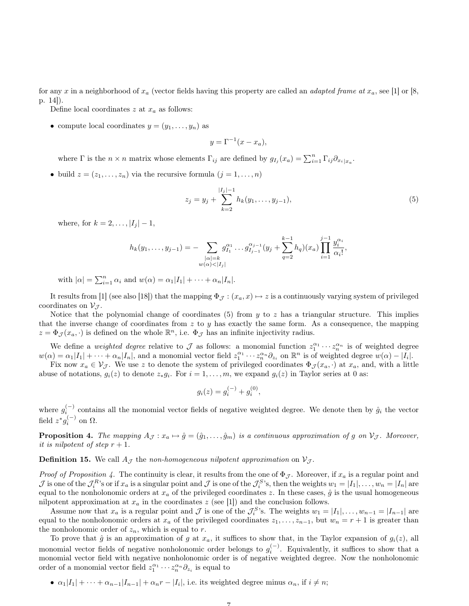for any x in a neighborhood of  $x_a$  (vector fields having this property are called an *adapted frame at*  $x_a$ , see [1] or [8, p. 14]).

Define local coordinates  $z$  at  $x_a$  as follows:

• compute local coordinates  $y = (y_1, \ldots, y_n)$  as

$$
y = \Gamma^{-1}(x - x_a),
$$

where  $\Gamma$  is the  $n \times n$  matrix whose elements  $\Gamma_{ij}$  are defined by  $g_{I_j}(x_a) = \sum_{i=1}^n \Gamma_{ij} \partial_{x_i} x_a$ .

• build  $z = (z_1, \ldots, z_n)$  via the recursive formula  $(j = 1, \ldots, n)$ 

$$
z_j = y_j + \sum_{k=2}^{|I_j|-1} h_k(y_1, \dots, y_{j-1}),
$$
\n(5)

where, for  $k = 2, ..., |I_j| - 1$ ,

$$
h_k(y_1,\ldots,y_{j-1})=-\sum_{\substack{|\alpha|=k \ w(\alpha)<|I_j|}} g_{I_1}^{\alpha_1}\ldots g_{I_{j-1}}^{\alpha_{j-1}}(y_j+\sum_{q=2}^{k-1} h_q)(x_a) \prod_{i=1}^{j-1} \frac{y_i^{\alpha_i}}{\alpha_i!},
$$

with  $|\alpha| = \sum_{i=1}^n \alpha_i$  and  $w(\alpha) = \alpha_1 |I_1| + \cdots + \alpha_n |I_n|$ .

It results from [1] (see also [18]) that the mapping  $\Phi_{\mathcal{J}}:(x_a,x)\mapsto z$  is a continuously varying system of privileged coordinates on  $\mathcal{V}_{\mathcal{I}}$ .

Notice that the polynomial change of coordinates (5) from y to z has a triangular structure. This implies that the inverse change of coordinates from  $z$  to  $y$  has exactly the same form. As a consequence, the mapping  $z = \Phi_{\mathcal{J}}(x_a, \cdot)$  is defined on the whole  $\mathbb{R}^n$ , i.e.  $\Phi_{\mathcal{J}}$  has an infinite injectivity radius.

We define a *weighted degree* relative to  $\mathcal J$  as follows: a monomial function  $z_1^{\alpha_1}\cdots z_n^{\alpha_n}$  is of weighted degree  $w(\alpha) = \alpha_1 |I_1| + \cdots + \alpha_n |I_n|$ , and a monomial vector field  $z_1^{\alpha_1} \cdots z_n^{\alpha_n} \partial_{z_i}$  on  $\mathbb{R}^n$  is of weighted degree  $w(\alpha) - |I_i|$ .

Fix now  $x_a \in V_J$ . We use z to denote the system of privileged coordinates  $\Phi_J(x_a, \cdot)$  at  $x_a$ , and, with a little abuse of notations,  $g_i(z)$  to denote  $z_*g_i$ . For  $i=1,\ldots,m$ , we expand  $g_i(z)$  in Taylor series at 0 as:

$$
g_i(z) = g_i^{(-)} + g_i^{(0)},
$$

where  $g_i^{(-)}$  contains all the monomial vector fields of negative weighted degree. We denote then by  $\hat{g}_i$  the vector field  $z^*g_i^{(-)}$  on  $\Omega$ .

**Proposition 4.** The mapping  $A_{\mathcal{J}}: x_a \mapsto \hat{g} = (\hat{g}_1, \ldots, \hat{g}_m)$  is a continuous approximation of g on  $\mathcal{V}_{\mathcal{J}}$ . Moreover, it is nilpotent of step  $r + 1$ .

**Definition 15.** We call  $A_{\mathcal{J}}$  the non-homogeneous nilpotent approximation on  $\mathcal{V}_{\mathcal{J}}$ .

*Proof of Proposition 4.* The continuity is clear, it results from the one of  $\Phi_{\mathcal{J}}$ . Moreover, if  $x_a$  is a regular point and  $\mathcal J$  is one of the  $\mathcal J_i^{R}$ 's or if  $x_a$  is a singular point and  $\mathcal J$  is one of the  $\mathcal J_i^{S}$ 's, then the weights  $w_1=|I_1|,\ldots,w_n=|I_n|$  are equal to the nonholonomic orders at  $x_a$  of the privileged coordinates z. In these cases,  $\hat{g}$  is the usual homogeneous nilpotent approximation at  $x_a$  in the coordinates z (see [1]) and the conclusion follows.

Assume now that  $x_a$  is a regular point and  $\mathcal J$  is one of the  $\mathcal J_i^{S}$ 's. The weights  $w_1 = |I_1|, \ldots, w_{n-1} = |I_{n-1}|$  are equal to the nonholonomic orders at  $x_a$  of the privileged coordinates  $z_1, \ldots, z_{n-1}$ , but  $w_n = r + 1$  is greater than the nonholonomic order of  $z_n$ , which is equal to r.

To prove that  $\hat{g}$  is an approximation of g at  $x_a$ , it suffices to show that, in the Taylor expansion of  $g_i(z)$ , all monomial vector fields of negative nonholonomic order belongs to  $g_i^{(-)}$ . Equivalently, it suffices to show that a monomial vector field with negative nonholonomic order is of negative weighted degree. Now the nonholonomic order of a monomial vector field  $z_1^{\alpha_1} \cdots z_n^{\alpha_n} \partial_{z_i}$  is equal to

•  $\alpha_1|I_1| + \cdots + \alpha_{n-1}|I_{n-1}| + \alpha_n r - |I_i|$ , i.e. its weighted degree minus  $\alpha_n$ , if  $i \neq n$ ;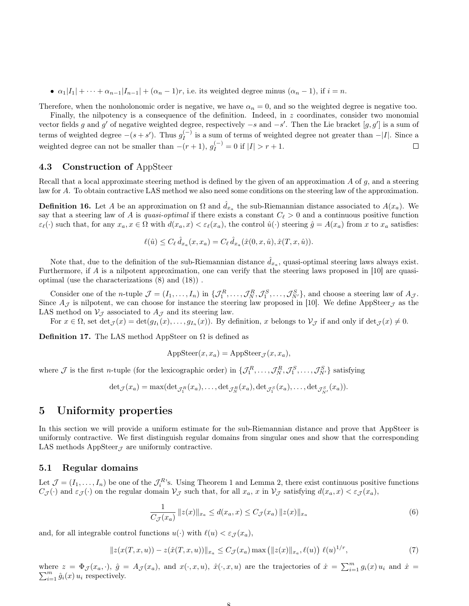•  $\alpha_1|I_1| + \cdots + \alpha_{n-1}|I_{n-1}| + (\alpha_n-1)r$ , i.e. its weighted degree minus  $(\alpha_n-1)$ , if  $i = n$ .

Therefore, when the nonholonomic order is negative, we have  $\alpha_n = 0$ , and so the weighted degree is negative too.

Finally, the nilpotency is a consequence of the definition. Indeed, in z coordinates, consider two monomial vector fields g and g' of negative weighted degree, respectively  $-s$  and  $-s'$ . Then the Lie bracket  $[g, g']$  is a sum of terms of weighted degree  $-(s + s')$ . Thus  $g_I^{(-)}$  $I_I^{(-)}$  is a sum of terms of weighted degree not greater than  $-|I|$ . Since a weighted degree can not be smaller than  $-(r+1)$ ,  $g_I^{(-)} = 0$  if  $|I| > r + 1$ .  $\Box$ 

#### 4.3 Construction of AppSteer

Recall that a local approximate steering method is defined by the given of an approximation A of  $q$ , and a steering law for A. To obtain contractive LAS method we also need some conditions on the steering law of the approximation.

**Definition 16.** Let A be an approximation on  $\Omega$  and  $\hat{d}_{x_a}$  the sub-Riemannian distance associated to  $A(x_a)$ . We say that a steering law of A is quasi-optimal if there exists a constant  $C_{\ell} > 0$  and a continuous positive function  $\varepsilon_{\ell}(\cdot)$  such that, for any  $x_a, x \in \Omega$  with  $d(x_a, x) < \varepsilon_{\ell}(x_a)$ , the control  $\hat{u}(\cdot)$  steering  $\hat{g} = A(x_a)$  from x to  $x_a$  satisfies:

$$
\ell(\hat{u}) \le C_{\ell} \,\hat{d}_{x_a}(x,x_a) = C_{\ell} \,\hat{d}_{x_a}(\hat{x}(0,x,\hat{u}),\hat{x}(T,x,\hat{u})).
$$

Note that, due to the definition of the sub-Riemannian distance  $\hat{d}_{x_a}$ , quasi-optimal steering laws always exist. Furthermore, if A is a nilpotent approximation, one can verify that the steering laws proposed in  $[10]$  are quasioptimal (use the characterizations (8) and (18)) .

Consider one of the *n*-tuple  $\mathcal{J} = (I_1, \ldots, I_n)$  in  $\{\mathcal{J}_1^R, \ldots, \mathcal{J}_N^R, \mathcal{J}_1^S, \ldots, \mathcal{J}_{N'}^S\}$ , and choose a steering law of  $A_{\mathcal{J}}$ . Since  $A_{\mathcal{J}}$  is nilpotent, we can choose for instance the steering law proposed in [10]. We define  $AppStep_{\mathcal{J}}$  as the LAS method on  $\mathcal{V}_{\mathcal{J}}$  associated to  $A_{\mathcal{J}}$  and its steering law.

For  $x \in \Omega$ , set  $\det_{\mathcal{J}}(x) = \det(g_{I_1}(x), \ldots, g_{I_n}(x))$ . By definition, x belongs to  $\mathcal{V}_{\mathcal{J}}$  if and only if  $\det_{\mathcal{J}}(x) \neq 0$ .

**Definition 17.** The LAS method AppSteer on  $\Omega$  is defined as

$$
AppSteer(x, x_a) = AppSteer_{\mathcal{J}}(x, x_a),
$$

where  $\mathcal{J}$  is the first *n*-tuple (for the lexicographic order) in  $\{\mathcal{J}_1^R,\ldots,\mathcal{J}_N^R,\mathcal{J}_1^S,\ldots,\mathcal{J}_{N'}^S\}$  satisfying

$$
\det_{\mathcal{J}}(x_a) = \max(\det_{\mathcal{J}_1^R}(x_a), \dots, \det_{\mathcal{J}_N^R}(x_a), \det_{\mathcal{J}_1^S}(x_a), \dots, \det_{\mathcal{J}_{N'}^S}(x_a)).
$$

## 5 Uniformity properties

In this section we will provide a uniform estimate for the sub-Riemannian distance and prove that AppSteer is uniformly contractive. We first distinguish regular domains from singular ones and show that the corresponding LAS methods AppSteer  $\tau$  are uniformly contractive.

#### 5.1 Regular domains

Let  $\mathcal{J} = (I_1, \ldots, I_n)$  be one of the  $\mathcal{J}_i^{R}$ 's. Using Theorem 1 and Lemma 2, there exist continuous positive functions  $C_{\mathcal{J}}(\cdot)$  and  $\varepsilon_{\mathcal{J}}(\cdot)$  on the regular domain  $\mathcal{V}_{\mathcal{J}}$  such that, for all  $x_a$ , x in  $\mathcal{V}_{\mathcal{J}}$  satisfying  $d(x_a, x) < \varepsilon_{\mathcal{J}}(x_a)$ ,

$$
\frac{1}{C_{\mathcal{J}}(x_a)} \|z(x)\|_{x_a} \le d(x_a, x) \le C_{\mathcal{J}}(x_a) \|z(x)\|_{x_a}
$$
\n(6)

and, for all integrable control functions  $u(\cdot)$  with  $\ell(u) < \varepsilon_{\mathcal{J}} (x_a)$ ,

$$
||z(x(T, x, u)) - z(\hat{x}(T, x, u))||_{x_a} \le C_{\mathcal{J}}(x_a) \max (||z(x)||_{x_a}, \ell(u)) \ell(u)^{1/r}, \tag{7}
$$

where  $z = \Phi_{\mathcal{J}}(x_a, \cdot)$ ,  $\hat{g} = A_{\mathcal{J}}(x_a)$ , and  $x(\cdot, x, u)$ ,  $\hat{x}(\cdot, x, u)$  are the trajectories of  $\dot{x} = \sum_{i=1}^m g_i(x) u_i$  and  $\dot{x} =$  $\sum_{i=1}^{m} \hat{g}_i(x) u_i$  respectively.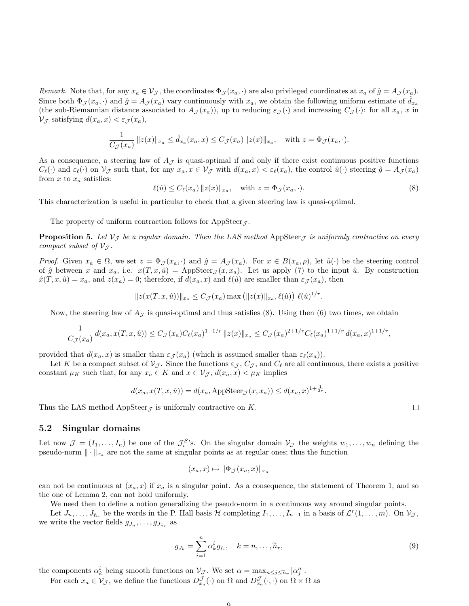Remark. Note that, for any  $x_a \in V_{\mathcal{J}}$ , the coordinates  $\Phi_{\mathcal{J}}(x_a, \cdot)$  are also privileged coordinates at  $x_a$  of  $\hat{g} = A_{\mathcal{J}}(x_a)$ . Since both  $\Phi_{\mathcal{J}}(x_a, \cdot)$  and  $\hat{g} = A_{\mathcal{J}}(x_a)$  vary continuously with  $x_a$ , we obtain the following uniform estimate of  $d_{x_a}$ (the sub-Riemannian distance associated to  $A_{\mathcal{J}}(x_a)$ ), up to reducing  $\varepsilon_{\mathcal{J}}(\cdot)$  and increasing  $C_{\mathcal{J}}(\cdot)$ : for all  $x_a$ , x in  $\mathcal{V}_{\mathcal{J}}$  satisfying  $d(x_a, x) < \varepsilon_{\mathcal{J}}(x_a)$ ,

$$
\frac{1}{C_{\mathcal{J}}(x_a)} ||z(x)||_{x_a} \leq \hat{d}_{x_a}(x_a, x) \leq C_{\mathcal{J}}(x_a) ||z(x)||_{x_a}, \text{ with } z = \Phi_{\mathcal{J}}(x_a, \cdot).
$$

As a consequence, a steering law of  $A_{\mathcal{J}}$  is quasi-optimal if and only if there exist continuous positive functions  $C_{\ell}(\cdot)$  and  $\varepsilon_{\ell}(\cdot)$  on  $\mathcal{V}_{\mathcal{J}}$  such that, for any  $x_a, x \in \mathcal{V}_{\mathcal{J}}$  with  $d(x_a, x) < \varepsilon_{\ell}(x_a)$ , the control  $\hat{u}(\cdot)$  steering  $\hat{g} = A_{\mathcal{J}}(x_a)$ from  $x$  to  $x_a$  satisfies:

$$
\ell(\hat{u}) \le C_{\ell}(x_a) \|z(x)\|_{x_a}, \quad \text{with } z = \Phi_{\mathcal{J}}(x_a, \cdot). \tag{8}
$$

This characterization is useful in particular to check that a given steering law is quasi-optimal.

The property of uniform contraction follows for AppSteer<sub> $\tau$ </sub>.

**Proposition 5.** Let  $V_{\mathcal{J}}$  be a regular domain. Then the LAS method AppSteer<sub>J</sub> is uniformly contractive on every compact subset of  $\mathcal{V}_{\mathcal{J}}$ .

*Proof.* Given  $x_a \in \Omega$ , we set  $z = \Phi_{\mathcal{J}}(x_a, \cdot)$  and  $\hat{g} = A_{\mathcal{J}}(x_a)$ . For  $x \in B(x_a, \rho)$ , let  $\hat{u}(\cdot)$  be the steering control of  $\hat{g}$  between x and  $x_a$ , i.e.  $x(T, x, \hat{u}) = \text{AppSteer}_{\mathcal{J}}(x, x_a)$ . Let us apply (7) to the input  $\hat{u}$ . By construction  $\hat{x}(T, x, \hat{u}) = x_a$ , and  $z(x_a) = 0$ ; therefore, if  $d(x_a, x)$  and  $\ell(\hat{u})$  are smaller than  $\varepsilon_{\mathcal{J}}(x_a)$ , then

$$
||z(x(T, x, \hat{u}))||_{x_a} \leq C_{\mathcal{J}}(x_a) \max (||z(x)||_{x_a}, \ell(\hat{u})) \ell(\hat{u})^{1/r}.
$$

Now, the steering law of  $A_{\mathcal{J}}$  is quasi-optimal and thus satisfies (8). Using then (6) two times, we obtain

$$
\frac{1}{C_{\mathcal{J}}(x_a)} d(x_a, x(T, x, \hat{u})) \leq C_{\mathcal{J}}(x_a) C_{\ell}(x_a)^{1+1/r} ||z(x)||_{x_a} \leq C_{\mathcal{J}}(x_a)^{2+1/r} C_{\ell}(x_a)^{1+1/r} d(x_a, x)^{1+1/r},
$$

provided that  $d(x_a, x)$  is smaller than  $\varepsilon_{\mathcal{I}}(x_a)$  (which is assumed smaller than  $\varepsilon_{\ell}(x_a)$ ).

Let K be a compact subset of  $V_{\mathcal{J}}$ . Since the functions  $\varepsilon_{\mathcal{J}}$ ,  $C_{\mathcal{J}}$ , and  $C_{\ell}$  are all continuous, there exists a positive constant  $\mu_K$  such that, for any  $x_a \in K$  and  $x \in V_{\mathcal{J}}$ ,  $d(x_a, x) < \mu_K$  implies

$$
d(x_a, x(T, x, \hat{u})) = d(x_a, \text{AppSteer}_{\mathcal{J}}(x, x_a)) \leq d(x_a, x)^{1 + \frac{1}{2r}}.
$$

Thus the LAS method AppSteer<sub> $\mathcal I$ </sub> is uniformly contractive on K.

#### 5.2 Singular domains

Let now  $\mathcal{J} = (I_1, \ldots, I_n)$  be one of the  $\mathcal{J}_i^S$ 's. On the singular domain  $\mathcal{V}_{\mathcal{J}}$  the weights  $w_1, \ldots, w_n$  defining the pseudo-norm  $\|\cdot\|_{x_a}$  are not the same at singular points as at regular ones; thus the function

$$
(x_a, x) \mapsto \|\Phi_{\mathcal{J}}(x_a, x)\|_{x_a}
$$

can not be continuous at  $(x_a, x)$  if  $x_a$  is a singular point. As a consequence, the statement of Theorem 1, and so the one of Lemma 2, can not hold uniformly.

We need then to define a notion generalizing the pseudo-norm in a continuous way around singular points.

Let  $J_n, \ldots, J_{\tilde{n}_r}$  be the words in the P. Hall basis H completing  $I_1, \ldots, I_{n-1}$  in a basis of  $\mathcal{L}^r(1,\ldots,m)$ . On  $\mathcal{V}_{\mathcal{J}},$ we write the vector fields  $g_{J_n}, \ldots, g_{J_{\tilde{n}_r}}$  as

$$
g_{J_k} = \sum_{i=1}^n \alpha_k^i g_{I_i}, \quad k = n, \dots, \widetilde{n}_r,
$$
\n
$$
(9)
$$

the components  $\alpha_k^i$  being smooth functions on  $\mathcal{V}_{\mathcal{J}}$ . We set  $\alpha = \max_{n \leq j \leq \tilde{n}_r} |\alpha_j^n|$ .

For each  $x_a \in V_{\mathcal{J}}$ , we define the functions  $D_{x_a}^{\mathcal{J}}(\cdot)$  on  $\Omega$  and  $D_{x_a}^{\mathcal{J}}(\cdot, \cdot)$  on  $\Omega \times \Omega$  as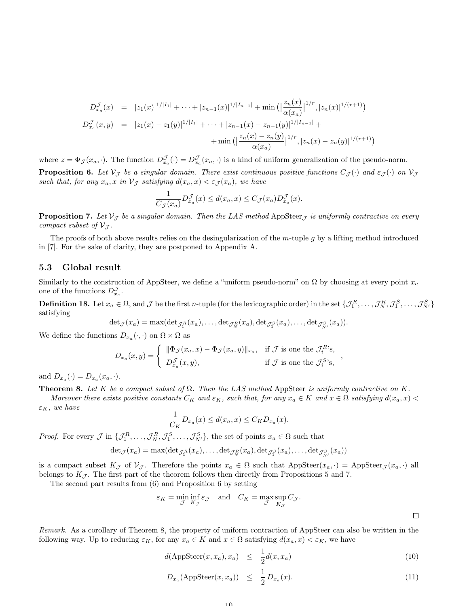$$
D_{x_a}^{\mathcal{J}}(x) = |z_1(x)|^{1/|I_1|} + \dots + |z_{n-1}(x)|^{1/|I_{n-1}|} + \min\left(|\frac{z_n(x)}{\alpha(x_a)}|^{1/r}, |z_n(x)|^{1/(r+1)}\right)
$$
  

$$
D_{x_a}^{\mathcal{J}}(x,y) = |z_1(x) - z_1(y)|^{1/|I_1|} + \dots + |z_{n-1}(x) - z_{n-1}(y)|^{1/|I_{n-1}|} + \dots + \min\left(|\frac{z_n(x) - z_n(y)}{\alpha(x_a)}|^{1/r}, |z_n(x) - z_n(y)|^{1/(r+1)}\right)
$$

where  $z = \Phi_{\mathcal{J}}(x_a, \cdot)$ . The function  $D_{x_a}^{\mathcal{J}}(\cdot) = D_{x_a}^{\mathcal{J}}(x_a, \cdot)$  is a kind of uniform generalization of the pseudo-norm.

**Proposition 6.** Let  $V_{\mathcal{J}}$  be a singular domain. There exist continuous positive functions  $C_{\mathcal{J}}(\cdot)$  and  $\varepsilon_{\mathcal{J}}(\cdot)$  on  $V_{\mathcal{J}}$ such that, for any  $x_a$ , x in  $\mathcal{V}_{\mathcal{J}}$  satisfying  $d(x_a, x) < \varepsilon_{\mathcal{J}}(x_a)$ , we have

$$
\frac{1}{C_{\mathcal{J}}(x_a)}D_{x_a}^{\mathcal{J}}(x) \le d(x_a, x) \le C_{\mathcal{J}}(x_a)D_{x_a}^{\mathcal{J}}(x).
$$

**Proposition 7.** Let  $V_J$  be a singular domain. Then the LAS method AppSteer<sub>J</sub> is uniformly contractive on every compact subset of  $V_{\mathcal{J}}$ .

The proofs of both above results relies on the desingularization of the m-tuple q by a lifting method introduced in [7]. For the sake of clarity, they are postponed to Appendix A.

#### 5.3 Global result

Similarly to the construction of AppSteer, we define a "uniform pseudo-norm" on  $\Omega$  by choosing at every point  $x_a$ one of the functions  $D_{x_a}^{\mathcal{J}}$ .

**Definition 18.** Let  $x_a \in \Omega$ , and  $\mathcal{J}$  be the first *n*-tuple (for the lexicographic order) in the set  $\{\mathcal{J}_1^R, \ldots, \mathcal{J}_N^R, \mathcal{J}_1^S, \ldots, \mathcal{J}_{N'}^S\}$ satisfying

$$
\det_{\mathcal{J}}(x_a) = \max(\det_{\mathcal{J}_1^R}(x_a), \dots, \det_{\mathcal{J}_N^R}(x_a), \det_{\mathcal{J}_1^S}(x_a), \dots, \det_{\mathcal{J}_{N'}^S}(x_a)).
$$

We define the functions  $D_{x_a}(\cdot, \cdot)$  on  $\Omega \times \Omega$  as

$$
D_{x_a}(x,y) = \begin{cases} \|\Phi_{\mathcal{J}}(x_a, x) - \Phi_{\mathcal{J}}(x_a, y)\|_{x_a}, & \text{if } \mathcal{J} \text{ is one the } \mathcal{J}_i^{R} \text{'s,} \\ D_{x_a}^{\mathcal{J}}(x, y), & \text{if } \mathcal{J} \text{ is one the } \mathcal{J}_i^{S} \text{'s,} \end{cases}
$$

and  $D_{x_a}(\cdot) = D_{x_a}(x_a, \cdot).$ 

**Theorem 8.** Let K be a compact subset of  $\Omega$ . Then the LAS method AppSteer is uniformly contractive on K.

Moreover there exists positive constants  $C_K$  and  $\varepsilon_K$ , such that, for any  $x_a \in K$  and  $x \in \Omega$  satisfying  $d(x_a, x)$  $\varepsilon_K$ , we have

$$
\frac{1}{C_K}D_{x_a}(x) \le d(x_a, x) \le C_K D_{x_a}(x).
$$

*Proof.* For every  $\mathcal{J}$  in  $\{\mathcal{J}_1^R,\ldots,\mathcal{J}_N^R,\mathcal{J}_1^S,\ldots,\mathcal{J}_{N'}^S\}$ , the set of points  $x_a \in \Omega$  such that

$$
\det_{\mathcal{J}}(x_a) = \max(\det_{\mathcal{J}_1^R}(x_a), \dots, \det_{\mathcal{J}_N^R}(x_a), \det_{\mathcal{J}_1^S}(x_a), \dots, \det_{\mathcal{J}_{N'}^S}(x_a))
$$

is a compact subset  $K_{\mathcal{J}}$  of  $\mathcal{V}_{\mathcal{J}}$ . Therefore the points  $x_a \in \Omega$  such that AppSteer $(x_a, \cdot) =$ AppSteer $_{\mathcal{J}}(x_a, \cdot)$  all belongs to  $K_{\mathcal{J}}$ . The first part of the theorem follows then directly from Propositions 5 and 7.

The second part results from (6) and Proposition 6 by setting

$$
\varepsilon_K = \min_{\mathcal{J}} \inf_{K_{\mathcal{J}}} \varepsilon_{\mathcal{J}}
$$
 and  $C_K = \max_{\mathcal{J}} \sup_{K_{\mathcal{J}}} C_{\mathcal{J}}.$ 

 $\Box$ 

Remark. As a corollary of Theorem 8, the property of uniform contraction of AppSteer can also be written in the following way. Up to reducing  $\varepsilon_K$ , for any  $x_a \in K$  and  $x \in \Omega$  satisfying  $d(x_a, x) < \varepsilon_K$ , we have

 $1<sub>0</sub>$ 

$$
d(\text{AppSteer}(x, x_a), x_a) \leq \frac{1}{2}d(x, x_a) \tag{10}
$$

,

$$
D_{x_a}(\text{AppSteer}(x, x_a)) \leq \frac{1}{2} D_{x_a}(x). \tag{11}
$$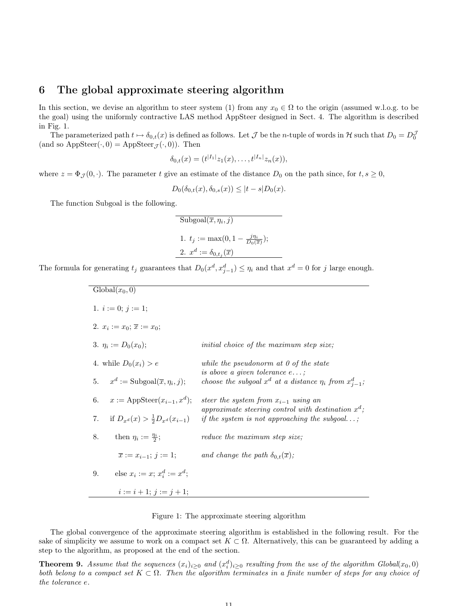## 6 The global approximate steering algorithm

In this section, we devise an algorithm to steer system (1) from any  $x_0 \in \Omega$  to the origin (assumed w.l.o.g. to be the goal) using the uniformly contractive LAS method AppSteer designed in Sect. 4. The algorithm is described in Fig. 1.

The parameterized path  $t \mapsto \delta_{0,t}(x)$  is defined as follows. Let  $\mathcal J$  be the *n*-tuple of words in  $\mathcal H$  such that  $D_0 = D_0^{\mathcal J}$ (and so AppSteer $(\cdot, 0)$  = AppSteer $\tau(\cdot, 0)$ ). Then

$$
\delta_{0,t}(x)=(t^{|I_1|}z_1(x),\ldots,t^{|I_n|}z_n(x)),
$$

where  $z = \Phi_{\mathcal{J}}(0, \cdot)$ . The parameter t give an estimate of the distance  $D_0$  on the path since, for  $t, s \ge 0$ ,

$$
D_0(\delta_{0,t}(x), \delta_{0,s}(x)) \leq |t - s| D_0(x).
$$

The function Subgoal is the following.

Subgoal
$$
(\overline{x}, \eta_i, j)
$$
  
1.  $t_j := \max(0, 1 - \frac{j\eta_i}{D_0(\overline{x})});$   
2.  $x^d := \delta_{0,t_j}(\overline{x})$ 

The formula for generating  $t_j$  guarantees that  $D_0(x^d, x_{j-1}^d) \leq \eta_i$  and that  $x^d = 0$  for j large enough.

| $\text{Global}(x_0, 0)$                              |                                                                                                             |  |
|------------------------------------------------------|-------------------------------------------------------------------------------------------------------------|--|
| 1. $i := 0; j := 1;$                                 |                                                                                                             |  |
| 2. $x_i := x_0; \overline{x} := x_0;$                |                                                                                                             |  |
| 3. $\eta_i := D_0(x_0);$                             | <i>initial choice of the maximum step size;</i>                                                             |  |
| 4. while $D_0(x_i) > e$                              | while the pseudonorm at $\theta$ of the state                                                               |  |
| 5. $x^d := \text{Subgoal}(\overline{x}, \eta_i, j);$ | is above a given tolerance $e \dots;$<br>choose the subgoal $x^d$ at a distance $\eta_i$ from $x_{i-1}^d$ ; |  |
| $x := \text{AppSteer}(x_{i-1}, x^d);$<br>6.          | steer the system from $x_{i-1}$ using an                                                                    |  |
| if $D_{x^d}(x) > \frac{1}{2}D_{x^d}(x_{i-1})$<br>7.  | approximate steering control with destination $x^d$ ;<br>if the system is not approaching the subgoal;      |  |
| then $\eta_i := \frac{\eta_i}{2}$ ;<br>8.            | reduce the maximum step size;                                                                               |  |
| $\overline{x} := x_{i-1}; i := 1;$                   | and change the path $\delta_{0,t}(\overline{x});$                                                           |  |
| else $x_i := x; x_i^d := x^d;$<br>9.                 |                                                                                                             |  |
| $i := i + 1; j := j + 1;$                            |                                                                                                             |  |



The global convergence of the approximate steering algorithm is established in the following result. For the sake of simplicity we assume to work on a compact set  $K \subset \Omega$ . Alternatively, this can be guaranteed by adding a step to the algorithm, as proposed at the end of the section.

**Theorem 9.** Assume that the sequences  $(x_i)_{i\geq 0}$  and  $(x_i^d)_{i\geq 0}$  resulting from the use of the algorithm Global $(x_0, 0)$ both belong to a compact set  $K \subset \Omega$ . Then the algorithm terminates in a finite number of steps for any choice of the tolerance e.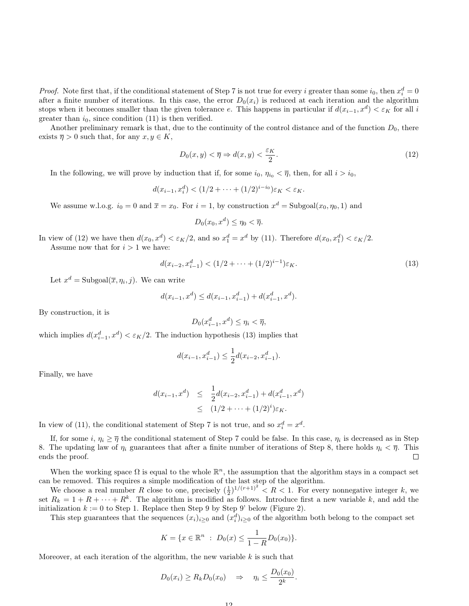*Proof.* Note first that, if the conditional statement of Step 7 is not true for every i greater than some  $i_0$ , then  $x_i^d = 0$ after a finite number of iterations. In this case, the error  $D_0(x_i)$  is reduced at each iteration and the algorithm stops when it becomes smaller than the given tolerance e. This happens in particular if  $d(x_{i-1}, x^d) < \varepsilon_K$  for all i greater than  $i_0$ , since condition (11) is then verified.

Another preliminary remark is that, due to the continuity of the control distance and of the function  $D_0$ , there exists  $\overline{\eta} > 0$  such that, for any  $x, y \in K$ ,

$$
D_0(x, y) < \overline{\eta} \Rightarrow d(x, y) < \frac{\varepsilon_K}{2}.\tag{12}
$$

In the following, we will prove by induction that if, for some  $i_0, \eta_{i_0} < \overline{\eta}$ , then, for all  $i > i_0$ ,

$$
d(x_{i-1}, x_i^d) < (1/2 + \dots + (1/2)^{i-i_0})\varepsilon_K < \varepsilon_K.
$$

We assume w.l.o.g.  $i_0 = 0$  and  $\overline{x} = x_0$ . For  $i = 1$ , by construction  $x^d = \text{Subgoal}(x_0, \eta_0, 1)$  and

$$
D_0(x_0, x^d) \le \eta_0 < \overline{\eta}.
$$

In view of (12) we have then  $d(x_0, x^d) < \varepsilon_K/2$ , and so  $x_1^d = x^d$  by (11). Therefore  $d(x_0, x_1^d) < \varepsilon_K/2$ . Assume now that for  $i > 1$  we have:

$$
d(x_{i-2}, x_{i-1}^d) < (1/2 + \dots + (1/2)^{i-1})\varepsilon_K. \tag{13}
$$

Let  $x^d = \text{Subgoal}(\overline{x}, \eta_i, j)$ . We can write

$$
d(x_{i-1}, x^d) \le d(x_{i-1}, x_{i-1}^d) + d(x_{i-1}^d, x^d).
$$

By construction, it is

$$
D_0(x_{i-1}^d, x^d) \le \eta_i < \overline{\eta},
$$

which implies  $d(x_{i-1}^d, x^d) < \varepsilon_K/2$ . The induction hypothesis (13) implies that

$$
d(x_{i-1}, x_{i-1}^d) \le \frac{1}{2} d(x_{i-2}, x_{i-1}^d).
$$

Finally, we have

$$
d(x_{i-1}, x^d) \leq \frac{1}{2}d(x_{i-2}, x_{i-1}^d) + d(x_{i-1}^d, x^d)
$$
  
 
$$
\leq (1/2 + \dots + (1/2)^i)\varepsilon_K.
$$

In view of (11), the conditional statement of Step 7 is not true, and so  $x_i^d = x^d$ .

If, for some  $i, \eta_i \geq \overline{\eta}$  the conditional statement of Step 7 could be false. In this case,  $\eta_i$  is decreased as in Step 8. The updating law of  $\eta_i$  guarantees that after a finite number of iterations of Step 8, there holds  $\eta_i < \overline{\eta}$ . This ends the proof.  $\Box$ 

When the working space  $\Omega$  is equal to the whole  $\mathbb{R}^n$ , the assumption that the algorithm stays in a compact set can be removed. This requires a simple modification of the last step of the algorithm.

We choose a real number R close to one, precisely  $(\frac{1}{2})^{1/(r+1)^2} < R < 1$ . For every nonnegative integer k, we set  $R_k = 1 + R + \cdots + R^k$ . The algorithm is modified as follows. Introduce first a new variable k, and add the initialization  $k := 0$  to Step 1. Replace then Step 9 by Step 9' below (Figure 2).

This step guarantees that the sequences  $(x_i)_{i\geq 0}$  and  $(x_i^d)_{i\geq 0}$  of the algorithm both belong to the compact set

$$
K = \{x \in \mathbb{R}^n : D_0(x) \le \frac{1}{1 - R} D_0(x_0) \}.
$$

Moreover, at each iteration of the algorithm, the new variable  $k$  is such that

$$
D_0(x_i) \ge R_k D_0(x_0) \quad \Rightarrow \quad \eta_i \le \frac{D_0(x_0)}{2^k}
$$

 $19$ 

.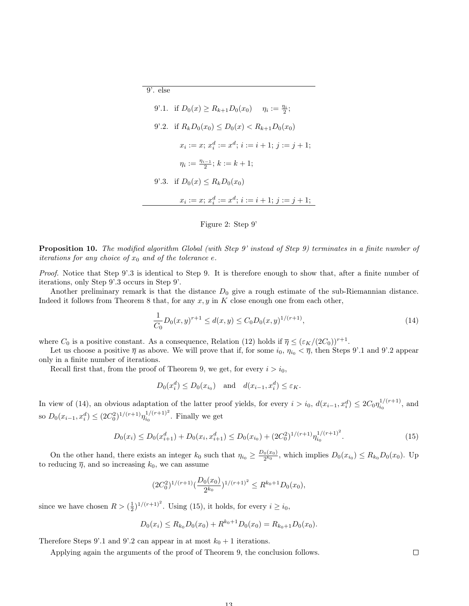9'. else  
\n9'.1. if 
$$
D_0(x) \ge R_{k+1}D_0(x_0)
$$
  $\eta_i := \frac{\eta_i}{2}$ ;  
\n9'.2. if  $R_k D_0(x_0) \le D_0(x) < R_{k+1}D_0(x_0)$   
\n $x_i := x$ ;  $x_i^d := x^d$ ;  $i := i + 1$ ;  $j := j + 1$ ;  
\n $\eta_i := \frac{\eta_{i-1}}{2}$ ;  $k := k + 1$ ;  
\n9'.3. if  $D_0(x) \le R_k D_0(x_0)$   
\n $x_i := x$ ;  $x_i^d := x^d$ ;  $i := i + 1$ ;  $j := j + 1$ ;



Proposition 10. The modified algorithm Global (with Step 9' instead of Step 9) terminates in a finite number of *iterations for any choice of*  $x_0$  *and of the tolerance e.* 

Proof. Notice that Step 9'.3 is identical to Step 9. It is therefore enough to show that, after a finite number of iterations, only Step 9'.3 occurs in Step 9'.

Another preliminary remark is that the distance  $D_0$  give a rough estimate of the sub-Riemannian distance. Indeed it follows from Theorem 8 that, for any  $x, y$  in K close enough one from each other,

$$
\frac{1}{C_0}D_0(x,y)^{r+1} \le d(x,y) \le C_0D_0(x,y)^{1/(r+1)},\tag{14}
$$

where  $C_0$  is a positive constant. As a consequence, Relation (12) holds if  $\overline{\eta} \leq (\varepsilon_K/(2C_0))^{r+1}$ .

Let us choose a positive  $\bar{\eta}$  as above. We will prove that if, for some  $i_0$ ,  $\eta_{i_0} < \bar{\eta}$ , then Steps 9'.1 and 9'.2 appear only in a finite number of iterations.

Recall first that, from the proof of Theorem 9, we get, for every  $i > i_0$ ,

$$
D_0(x_i^d) \le D_0(x_{i_0})
$$
 and  $d(x_{i-1}, x_i^d) \le \varepsilon_K$ .

In view of (14), an obvious adaptation of the latter proof yields, for every  $i > i_0$ ,  $d(x_{i-1}, x_i^d) \leq 2C_0 \eta_{i_0}^{1/(r+1)}$ , and so  $D_0(x_{i-1}, x_i^d) \leq (2C_0^2)^{1/(r+1)} \eta_{i_0}^{1/(r+1)^2}$  $i_0^{1/(r+1)}$ . Finally we get

$$
D_0(x_i) \le D_0(x_{i+1}^d) + D_0(x_i, x_{i+1}^d) \le D_0(x_{i_0}) + (2C_0^2)^{1/(r+1)} \eta_{i_0}^{1/(r+1)^2}.
$$
\n(15)

On the other hand, there exists an integer  $k_0$  such that  $\eta_{i_0} \geq \frac{D_0(x_0)}{2^{k_0}}$  $\frac{1}{2^{k_0}}$ , which implies  $D_0(x_{i_0}) \le R_{k_0}D_0(x_0)$ . Up to reducing  $\bar{\eta}$ , and so increasing  $k_0$ , we can assume

$$
(2C_0^2)^{1/(r+1)} \left(\frac{D_0(x_0)}{2^{k_0}}\right)^{1/(r+1)^2} \le R^{k_0+1} D_0(x_0),
$$

since we have chosen  $R > (\frac{1}{2})^{1/(r+1)^2}$ . Using (15), it holds, for every  $i \ge i_0$ ,

$$
D_0(x_i) \le R_{k_0} D_0(x_0) + R^{k_0+1} D_0(x_0) = R_{k_0+1} D_0(x_0).
$$

13

Therefore Steps 9'.1 and 9'.2 can appear in at most  $k_0 + 1$  iterations.

Applying again the arguments of the proof of Theorem 9, the conclusion follows.

 $\Box$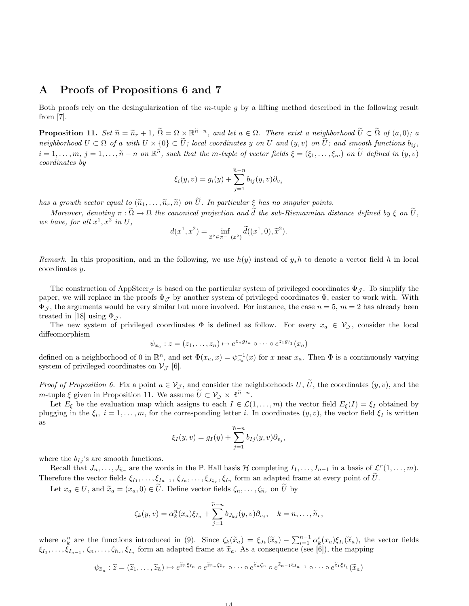## A Proofs of Propositions 6 and 7

Both proofs rely on the desingularization of the m-tuple g by a lifting method described in the following result from [7].

**Proposition 11.** Set  $\widetilde{n} = \widetilde{n}_r + 1$ ,  $\widetilde{\Omega} = \Omega \times \mathbb{R}^{\widetilde{n}-n}$ , and let  $a \in \Omega$ . There exist a neighborhood  $\widetilde{U} \subset \widetilde{\Omega}$  of  $(a, 0)$ ; a neighborhood  $\widetilde{U} \subset \widetilde{\Omega}$  of  $(a, 0)$ ; a neighborhood  $\widetilde{U} \subset \$ neighborhood  $U \subset \Omega$  of a with  $U \times \{0\} \subset \widetilde{U}$ ; local coordinates y on U and  $(y, v)$  on  $\widetilde{U}$ ; and smooth functions  $b_{ij}$ ,  $i = 1, \ldots, m, j = 1, \ldots, \widetilde{n} - n$  on  $\mathbb{R}^{\widetilde{n}}$ , such that the m-tuple of vector fields  $\xi = (\xi_1, \ldots, \xi_m)$  on  $\widetilde{U}$  defined in  $(y, v)$ coordinates by

$$
\xi_i(y,v) = g_i(y) + \sum_{j=1}^{\widetilde{n}-n} b_{ij}(y,v) \partial_{v_j}
$$

has a growth vector equal to  $(\widetilde{n}_1, \ldots, \widetilde{n}_r, \widetilde{n})$  on  $\widetilde{U}$ . In particular  $\xi$  has no singular points.

Moreover, denoting  $\pi : \tilde{\Omega} \to \Omega$  the canonical projection and  $\tilde{d}$  the sub-Riemannian distance defined by  $\xi$  on  $\tilde{U}$ , we have, for all  $x^1, x^2$  in U,

$$
d(x^{1}, x^{2}) = \inf_{\tilde{x}^{2} \in \pi^{-1}(x^{2})} \tilde{d}((x^{1}, 0), \tilde{x}^{2}).
$$

Remark. In this proposition, and in the following, we use  $h(y)$  instead of  $y_*h$  to denote a vector field h in local coordinates y.

The construction of AppSteer  $\tau$  is based on the particular system of privileged coordinates  $\Phi_{\tau}$ . To simplify the paper, we will replace in the proofs  $\Phi_{\mathcal{J}}$  by another system of privileged coordinates  $\Phi$ , easier to work with. With  $\Phi_{J}$ , the arguments would be very similar but more involved. For instance, the case  $n = 5$ ,  $m = 2$  has already been treated in [18] using  $\Phi_{\mathcal{J}}$ .

The new system of privileged coordinates  $\Phi$  is defined as follow. For every  $x_a \in V_{\mathcal{J}}$ , consider the local diffeomorphism

$$
\psi_{x_a}: z = (z_1, \ldots, z_n) \mapsto e^{z_n g_{I_n}} \circ \cdots \circ e^{z_1 g_{I_1}}(x_a)
$$

defined on a neighborhood of 0 in  $\mathbb{R}^n$ , and set  $\Phi(x_a, x) = \psi_{x_a}^{-1}(x)$  for x near  $x_a$ . Then  $\Phi$  is a continuously varying system of privileged coordinates on  $\mathcal{V}_{\mathcal{J}}$  [6].

*Proof of Proposition 6.* Fix a point  $a \in V_{\mathcal{J}}$ , and consider the neighborhoods U,  $\tilde{U}$ , the coordinates  $(y, v)$ , and the m-tuple  $\xi$  given in Proposition 11. We assume  $\widetilde{U} \subset \mathcal{V}_{\mathcal{J}} \times \mathbb{R}^{\widetilde{n}-n}$ .

Let  $E_{\xi}$  be the evaluation map which assigns to each  $I \in \mathcal{L}(1,\ldots,m)$  the vector field  $E_{\xi}(I) = \xi_I$  obtained by plugging in the  $\xi_i$ ,  $i = 1, \ldots, m$ , for the corresponding letter i. In coordinates  $(y, v)$ , the vector field  $\xi_I$  is written as

$$
\xi_I(y,v) = g_I(y) + \sum_{j=1}^{\widetilde{n}-n} b_{Ij}(y,v) \partial_{v_j},
$$

where the  $b_{Ij}$ 's are smooth functions.

Recall that  $J_n, \ldots, J_{\tilde{n}_r}$  are the words in the P. Hall basis  $\mathcal{H}$  completing  $I_1, \ldots, I_{n-1}$  in a basis of  $\mathcal{L}^r(1,\ldots,m)$ . Therefore the vector fields  $\xi_{I_1}, \ldots, \xi_{I_{n-1}}, \xi_{J_n}, \ldots, \xi_{J_{\tilde{n}_r}}, \xi_{I_n}$  form an adapted frame at every point of U.

Let  $x_a \in U$ , and  $\widetilde{x}_a = (x_a, 0) \in U$ . Define vector fields  $\zeta_n, \ldots, \zeta_{\widetilde{n}_r}$  on U by

$$
\zeta_k(y,v) = \alpha_k^n(x_a)\xi_{I_n} + \sum_{j=1}^{\widetilde{n}-n} b_{J_kj}(y,v)\partial_{v_j}, \quad k = n,\ldots, \widetilde{n}_r,
$$

where  $\alpha_k^n$  are the functions introduced in (9). Since  $\zeta_k(\tilde{x}_a) = \xi_{J_k}(\tilde{x}_a) - \sum_{i=1}^{n-1} \alpha_k^i(x_a) \xi_{I_i}(\tilde{x}_a)$ , the vector fields  $\xi_{I_1}, \ldots, \xi_{I_{n-1}}, \zeta_n, \ldots, \zeta_{\tilde{n}_r}, \xi_{I_n}$  form an adapted frame at  $\tilde{x}_a$ . As a consequence (see [6]), the mapping

$$
\psi_{\widetilde{x}_a} : \widetilde{z} = (\widetilde{z}_1, \ldots, \widetilde{z}_{\widetilde{n}}) \mapsto e^{\widetilde{z}_{\widetilde{n}} \xi_{I_n}} \circ e^{\widetilde{z}_{\widetilde{n}_r} \zeta_{\widetilde{n}_r}} \circ \cdots \circ e^{\widetilde{z}_{n} \zeta_{n}} \circ e^{\widetilde{z}_{n-1} \xi_{I_{n-1}}} \circ \cdots \circ e^{\widetilde{z}_{1} \xi_{I_1}} (\widetilde{x}_a)
$$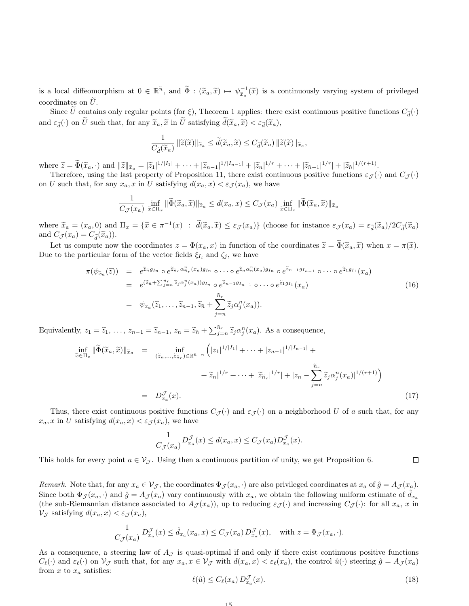is a local diffeomorphism at  $0 \in \mathbb{R}^{\tilde{n}}$ , and  $\tilde{\Phi} : (\tilde{x}_a, \tilde{x}) \mapsto \psi_{\tilde{x}_a}^{-1}(\tilde{x})$  is a continuously varying system of privileged coordinates on  $\tilde{U}$ .

Since U contains only regular points (for  $\xi$ ), Theorem 1 applies: there exist continuous positive functions  $C_{\tilde{d}}(\cdot)$ and  $\varepsilon_{\widetilde{d}}(\cdot)$  on  $\widetilde{U}$  such that, for any  $\widetilde{x}_a, \widetilde{x}$  in  $\widetilde{U}$  satisfying  $\widetilde{d}(\widetilde{x}_a, \widetilde{x}) < \varepsilon_{\widetilde{d}}(\widetilde{x}_a)$ ,

$$
\frac{1}{C_{\widetilde{d}}(\widetilde{x}_a)}\|\widetilde{z}(\widetilde{x})\|_{\widetilde{x}_a}\leq \widetilde{d}(\widetilde{x}_a,\widetilde{x})\leq C_{\widetilde{d}}(\widetilde{x}_a)\|\widetilde{z}(\widetilde{x})\|_{\widetilde{x}_a},
$$

where  $\widetilde{z} = \widetilde{\Phi}(\widetilde{x}_a, \cdot)$  and  $\|\widetilde{z}\|_{\widetilde{x}_a} = |\widetilde{z}_1|^{1/|I_1|} + \cdots + |\widetilde{z}_{n-1}|^{1/|I_{n-1}|} + |\widetilde{z}_n|^{1/r} + \cdots + |\widetilde{z}_{n-1}|^{1/r} + |\widetilde{z}_n|^{1/(r+1)}$ .<br>Therefore, using the lest property of Propesition 11, there exi

Therefore, using the last property of Proposition 11, there exist continuous positive functions  $\varepsilon_{\mathcal{J}}(\cdot)$  and  $C_{\mathcal{J}}(\cdot)$ on U such that, for any  $x_a$ , x in U satisfying  $d(x_a, x) < \varepsilon_{\mathcal{J}}(x_a)$ , we have

$$
\frac{1}{C_{\mathcal{J}}(x_a)} \inf_{\tilde{x} \in \Pi_x} \|\widetilde{\Phi}(\tilde{x}_a, \tilde{x})\|_{\tilde{x}_a} \le d(x_a, x) \le C_{\mathcal{J}}(x_a) \inf_{\tilde{x} \in \Pi_x} \|\widetilde{\Phi}(\tilde{x}_a, \tilde{x})\|_{\tilde{x}_a}
$$

where  $\tilde{x}_a = (x_a, 0)$  and  $\Pi_x = {\{\tilde{x} \in \pi^{-1}(x) : \tilde{d}(\tilde{x}_a, \tilde{x}) \le \varepsilon_{\mathcal{J}}(x_a)\}}$  (choose for instance  $\varepsilon_{\mathcal{J}}(x_a) = \varepsilon_{\tilde{d}}(\tilde{x}_a)/2C_{\tilde{d}}(\tilde{x}_a)$ and  $C_{\mathcal{J}}(x_a) = C_{\tilde{d}}(\tilde{x}_a)$ .

Let us compute now the coordinates  $z = \Phi(x_a, x)$  in function of the coordinates  $\tilde{z} = \tilde{\Phi}(\tilde{x}_a, \tilde{x})$  when  $x = \pi(\tilde{x})$ . Due to the particular form of the vector fields  $\xi_{I_i}$  and  $\zeta_j$ , we have

$$
\pi(\psi_{\tilde{x}_a}(\tilde{z})) = e^{\tilde{z}_{\tilde{n}}g_{I_n}} \circ e^{\tilde{z}_{\tilde{n}}\alpha_{\tilde{n}}^n (x_a)g_{I_n}} \circ \cdots \circ e^{\tilde{z}_n\alpha_n^n (x_a)g_{I_n}} \circ e^{\tilde{z}_{n-1}g_{I_{n-1}}} \circ \cdots \circ e^{\tilde{z}_1g_{I_1}}(x_a)
$$
\n
$$
= e^{(\tilde{z}_{\tilde{n}} + \sum_{j=n}^{\tilde{n}_r} \tilde{z}_j \alpha_j^n (x_a))g_{I_n}} \circ e^{\tilde{z}_{n-1}g_{I_{n-1}}} \circ \cdots \circ e^{\tilde{z}_1g_{I_1}}(x_a)
$$
\n
$$
= \psi_{x_a}(\tilde{z}_1, \ldots, \tilde{z}_{n-1}, \tilde{z}_{\tilde{n}} + \sum_{j=n}^{\tilde{n}_r} \tilde{z}_j \alpha_j^n (x_a)). \tag{16}
$$

Equivalently,  $z_1 = \tilde{z}_1, \ldots, z_{n-1} = \tilde{z}_{n-1}, z_n = \tilde{z}_{\tilde{n}} + \sum_{j=n}^{\tilde{n}_r} \tilde{z}_j \alpha_j^n(x_a)$ . As a consequence,

$$
\inf_{\tilde{x} \in \Pi_x} \|\tilde{\Phi}(\tilde{x}_a, \tilde{x})\|_{\tilde{x}_a} = \inf_{(\tilde{z}_n, ..., \tilde{z}_{\tilde{n}_r}) \in \mathbb{R}^{\tilde{n} - n}} \left( |z_1|^{1/|I_1|} + \dots + |z_{n-1}|^{1/|I_{n-1}|} + \right.
$$
\n
$$
+ |\tilde{z}_n|^{1/r} + \dots + |\tilde{z}_{\tilde{n}_r}|^{1/r} + |z_n - \sum_{j=n}^{\tilde{n}_r} \tilde{z}_j \alpha_j^n (x_a)|^{1/(r+1)} \right)
$$
\n
$$
= D_{x_a}^{\mathcal{J}}(x).
$$
\n(17)

Thus, there exist continuous positive functions  $C_{\mathcal{J}}(\cdot)$  and  $\varepsilon_{\mathcal{J}}(\cdot)$  on a neighborhood U of a such that, for any  $x_a, x$  in U satisfying  $d(x_a, x) < \varepsilon_{\mathcal{J}}(x_a)$ , we have

$$
\frac{1}{C_{\mathcal{J}}(x_a)}D_{x_a}^{\mathcal{J}}(x) \le d(x_a, x) \le C_{\mathcal{J}}(x_a)D_{x_a}^{\mathcal{J}}(x).
$$

This holds for every point  $a \in \mathcal{V}_{\mathcal{J}}$ . Using then a continuous partition of unity, we get Proposition 6.  $\Box$ 

Remark. Note that, for any  $x_a \in V_{\mathcal{J}}$ , the coordinates  $\Phi_{\mathcal{J}}(x_a, \cdot)$  are also privileged coordinates at  $x_a$  of  $\hat{g} = A_{\mathcal{J}}(x_a)$ . Since both  $\Phi_{\mathcal{J}}(x_a, \cdot)$  and  $\hat{g} = A_{\mathcal{J}}(x_a)$  vary continuously with  $x_a$ , we obtain the following uniform estimate of  $d_{x_a}$ (the sub-Riemannian distance associated to  $A_{\mathcal{J}}(x_a)$ ), up to reducing  $\varepsilon_{\mathcal{J}}(\cdot)$  and increasing  $C_{\mathcal{J}}(\cdot)$ : for all  $x_a$ , x in  $\mathcal{V}_{\mathcal{J}}$  satisfying  $d(x_a, x) < \varepsilon_{\mathcal{J}}(x_a)$ ,

$$
\frac{1}{C_{\mathcal{J}}(x_a)} D_{x_a}^{\mathcal{J}}(x) \leq \hat{d}_{x_a}(x_a, x) \leq C_{\mathcal{J}}(x_a) D_{x_a}^{\mathcal{J}}(x), \text{ with } z = \Phi_{\mathcal{J}}(x_a, \cdot).
$$

As a consequence, a steering law of  $A_{\mathcal{J}}$  is quasi-optimal if and only if there exist continuous positive functions  $C_{\ell}(\cdot)$  and  $\varepsilon_{\ell}(\cdot)$  on  $\mathcal{V}_{\mathcal{J}}$  such that, for any  $x_a, x \in \mathcal{V}_{\mathcal{J}}$  with  $d(x_a, x) < \varepsilon_{\ell}(x_a)$ , the control  $\hat{u}(\cdot)$  steering  $\hat{g} = A_{\mathcal{J}}(x_a)$ from  $x$  to  $x_a$  satisfies:

$$
\ell(\hat{u}) \le C_{\ell}(x_a) D_{x_a}^{\mathcal{J}}(x). \tag{18}
$$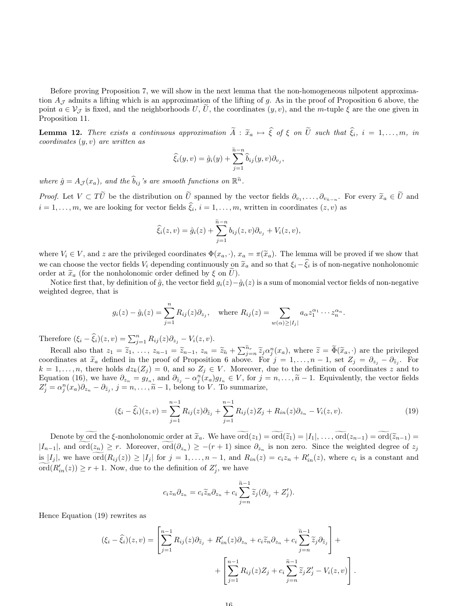Before proving Proposition 7, we will show in the next lemma that the non-homogeneous nilpotent approximation  $A_{\mathcal{J}}$  admits a lifting which is an approximation of the lifting of g. As in the proof of Proposition 6 above, the point  $a \in V_{\mathcal{J}}$  is fixed, and the neighborhoods U, U, the coordinates  $(y, v)$ , and the m-tuple  $\xi$  are the one given in Proposition 11.

**Lemma 12.** There exists a continuous approximation  $\tilde{A}$ :  $\tilde{x}_a \mapsto \hat{\xi}$  of  $\xi$  on  $\tilde{U}$  such that  $\hat{\xi}_i$ ,  $i = 1, ..., m$ , in  $coordinates (y, v)$  are written as

$$
\widehat{\xi}_i(y,v) = \widehat{g}_i(y) + \sum_{j=1}^{\widetilde{n}-n} \widehat{b}_{ij}(y,v) \partial_{v_j},
$$

where  $\hat{g} = A_{\mathcal{J}}(x_a)$ , and the  $\hat{b}_{ij}$ 's are smooth functions on  $\mathbb{R}^{\tilde{n}}$ .

*Proof.* Let  $V \subset TU$  be the distribution on U spanned by the vector fields  $\partial_{v_1}, \ldots, \partial_{v_{\tilde{n}-n}}$ . For every  $\tilde{x}_a \in U$  and  $i = 1, \ldots, m$ , we are looking for vector fields  $\xi_i$ ,  $i = 1, \ldots, m$ , written in coordinates  $(z, v)$  as

$$
\widehat{\xi}_i(z,v) = \widehat{g}_i(z) + \sum_{j=1}^{\widetilde{n}-n} b_{ij}(z,v) \partial_{v_j} + V_i(z,v),
$$

where  $V_i \in V$ , and z are the privileged coordinates  $\Phi(x_a, \cdot)$ ,  $x_a = \pi(\tilde{x}_a)$ . The lemma will be proved if we show that we can choose the vector fields  $V_i$  depending continuously on  $\tilde{x}_a$  and so that  $\xi_i - \xi_i$  is of non-negative nonholonomic<br>order at  $\tilde{x}_a$  (for the nonholonomic order defined by  $\xi$  on  $\tilde{U}$ ) order at  $\tilde{x}_a$  (for the nonholonomic order defined by  $\xi$  on  $\tilde{U}$ ).

Notice first that, by definition of  $\hat{g}$ , the vector field  $g_i(z)-\hat{g}_i(z)$  is a sum of monomial vector fields of non-negative weighted degree, that is

$$
g_i(z) - \hat{g}_i(z) = \sum_{j=1}^n R_{ij}(z)\partial_{z_j}, \quad \text{where } R_{ij}(z) = \sum_{w(\alpha) \geq |I_j|} a_{\alpha} z_1^{\alpha_1} \cdots z_n^{\alpha_n}.
$$

Therefore  $(\xi_i - \widehat{\xi}_i)(z, v) = \sum_{j=1}^n R_{ij}(z) \partial_{z_j} - V_i(z, v)$ .

Recall also that  $z_1 = \tilde{z}_1, \ldots, z_{n-1} = \tilde{z}_{n-1}, z_n = \tilde{z}_{\tilde{n}} + \sum_{j=n}^{\tilde{n}_r} \tilde{z}_j \alpha_j^n(x_a)$ , where  $\tilde{z} = \tilde{\Phi}(\tilde{x}_a, \cdot)$  are the privileged relinetes at  $\tilde{z}_a$  defined in the proof of Proposition 6 above. For coordinates at  $\tilde{x}_a$  defined in the proof of Proposition 6 above. For  $j = 1, ..., n-1$ , set  $Z_j = \partial_{z_j} - \partial_{\tilde{z}_j}$ . For  $k = 1, ..., n$  there holds  $d\tilde{x}_i(Z_i) = 0$  and so  $Z_i \subset V$ . Moreover, due to the definition of coordinates  $k = 1, \ldots, n$ , there holds  $dz_k(Z_j) = 0$ , and so  $Z_j \in V$ . Moreover, due to the definition of coordinates z and to Equation (16), we have  $\partial_{z_n} = g_{I_n}$ , and  $\partial_{\tilde{z}_j} - \alpha_j^n(x_a)g_{I_n} \in V$ , for  $j = n, \ldots, \tilde{n} - 1$ . Equivalently, the vector fields  $Z'_j = \alpha_j^n(x_a)\partial_{z_n} - \partial_{\tilde{z}_j}$ ,  $j = n, \ldots, \tilde{n} - 1$ , belong to V. To summarize,

$$
(\xi_i - \widehat{\xi}_i)(z, v) = \sum_{j=1}^{n-1} R_{ij}(z)\partial_{\widetilde{z}_j} + \sum_{j=1}^{n-1} R_{ij}(z)Z_j + R_{in}(z)\partial_{z_n} - V_i(z, v). \tag{19}
$$

Denote by ord the  $\xi$ -nonholonomic order at  $\widetilde x_a$ . We have  $\text{ord}(z_1) = \text{ord}(\widetilde z_1) = |I_1|, \ldots, \text{ord}(z_{n-1}) = \text{ord}(\widetilde z_{n-1}) =$  $|I_{n-1}|$ , and  $\text{ord}(z_n) \geq r$ . Moreover,  $\text{ord}(\partial_{z_n}) \geq -(r+1)$  since  $\partial_{z_n}$  is non zero. Since the weighted degree of  $z_j$ is  $|I_j|$ , we have  $\text{ord}(R_{ij}(z)) \geq |I_j|$  for  $j = 1, ..., n-1$ , and  $R_{in}(z) = c_i z_n + R'_{in}(z)$ , where  $c_i$  is a constant and  $\mathrm{ord}(R'_{in}(z)) \ge r+1$ . Now, due to the definition of  $Z'_{j}$ , we have

$$
c_i z_n \partial_{z_n} = c_i \widetilde{z}_n \partial_{z_n} + c_i \sum_{j=n}^{\widetilde{n}-1} \widetilde{z}_j (\partial_{\widetilde{z}_j} + Z'_j).
$$

Hence Equation (19) rewrites as

$$
(\xi_i - \widehat{\xi}_i)(z, v) = \left[ \sum_{j=1}^{n-1} R_{ij}(z)\partial_{\tilde{z}_j} + R'_{in}(z)\partial_{z_n} + c_i \widetilde{z}_n \partial_{z_n} + c_i \sum_{j=n}^{\widetilde{n}-1} \widetilde{z}_j \partial_{\tilde{z}_j} \right] +
$$
  
+ 
$$
\left[ \sum_{j=1}^{n-1} R_{ij}(z)Z_j + c_i \sum_{j=n}^{\widetilde{n}-1} \widetilde{z}_j Z'_j - V_i(z, v) \right].
$$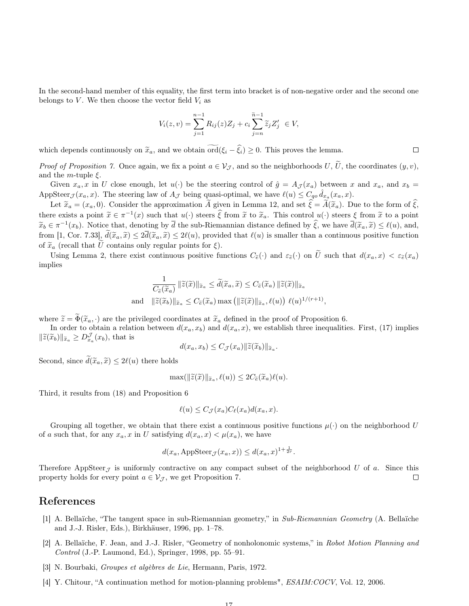In the second-hand member of this equality, the first term into bracket is of non-negative order and the second one belongs to V. We then choose the vector field  $V_i$  as

$$
V_i(z, v) = \sum_{j=1}^{n-1} R_{ij}(z) Z_j + c_i \sum_{j=n}^{\tilde{n}-1} \tilde{z}_j Z'_j \in V,
$$

which depends continuously on  $\widetilde{x}_a$ , and we obtain  $\widetilde{\text{ord}}(\xi_i - \widehat{\xi}_i) \geq 0$ . This proves the lemma.

*Proof of Proposition 7.* Once again, we fix a point  $a \in V_{\mathcal{J}}$ , and so the neighborhoods  $U, \tilde{U}$ , the coordinates  $(y, v)$ , and the *m*-tuple  $\xi$ .

 $\Box$ 

Given  $x_a, x$  in U close enough, let  $u(\cdot)$  be the steering control of  $\hat{g} = A_{\mathcal{J}}(x_a)$  between x and  $x_a$ , and  $x_b =$ AppSteer  $\mathcal{J}(x_a, x)$ . The steering law of  $A_{\mathcal{J}}$  being quasi-optimal, we have  $\ell(u) \leq C_{qo} \hat{d}_{x_a}(x_a, x)$ .

Let  $\tilde{x}_a = (x_a, 0)$ . Consider the approximation A given in Lemma 12, and set  $\hat{\xi} = A(\tilde{x}_a)$ . Due to the form of  $\hat{\xi}$ , there exists a point  $\tilde{x} \in \pi^{-1}(x)$  such that  $u(\cdot)$  steers  $\hat{\xi}$  from  $\tilde{x}$  to  $\tilde{x}_a$ . This control  $u(\cdot)$  steers  $\xi$  from  $\tilde{x}$  to a point<br> $\tilde{\xi} \in \pi^{-1}(u)$ . Notice that denoting by  $\overline{J}$  the sub-Dimension  $\widetilde{x}_b \in \pi^{-1}(x_b)$ . Notice that, denoting by  $\overline{d}$  the sub-Riemannian distance defined by  $\widehat{\xi}$ , we have  $\overline{d}(\widetilde{x}_a, \widetilde{x}) \leq \ell(u)$ , and, from [1, Cor. 7.33],  $\tilde{d}(\tilde{x}_a, \tilde{x}) \leq 2\overline{d}(\tilde{x}_a, \tilde{x}) \leq 2\ell(u)$ , provided that  $\ell(u)$  is smaller than a continuous positive function of  $\tilde{x}_a$  (recall that U contains only regular points for  $\xi$ ).

Using Lemma 2, there exist continuous positive functions  $C_{\tilde{e}}(\cdot)$  and  $\varepsilon_{\tilde{e}}(\cdot)$  on  $\tilde{U}$  such that  $d(x_a, x) < \varepsilon_{\tilde{e}}(x_a)$ implies

$$
\frac{1}{C_{\tilde{e}}(\tilde{x}_a)} \|\tilde{z}(\tilde{x})\|_{\tilde{x}_a} \le \tilde{d}(\tilde{x}_a, \tilde{x}) \le C_{\tilde{e}}(\tilde{x}_a) \|\tilde{z}(\tilde{x})\|_{\tilde{x}_a}
$$
  
and 
$$
\|\tilde{z}(\tilde{x}_b)\|_{\tilde{x}_a} \le C_{\tilde{e}}(\tilde{x}_a) \max (\|\tilde{z}(\tilde{x})\|_{\tilde{x}_a}, \ell(u)) \ell(u)^{1/(r+1)},
$$

where  $\tilde{z} = \tilde{\Phi}(\tilde{x}_a, \cdot)$  are the privileged coordinates at  $\tilde{x}_a$  defined in the proof of Proposition 6.

In order to obtain a relation between  $d(x_a, x_b)$  and  $d(x_a, x)$ , we establish three inequalities. First, (17) implies  $\|\tilde{z}(\tilde{x}_b)\|_{\tilde{x}_a} \geq D_{x_a}^{\mathcal{J}}(x_b)$ , that is

$$
d(x_a, x_b) \leq C_{\mathcal{J}}(x_a) \|\widetilde{z}(\widetilde{x}_b)\|_{\widetilde{x}_a}.
$$

Second, since  $\tilde{d}(\tilde{x}_a, \tilde{x}) \leq 2\ell(u)$  there holds

$$
\max(\|\widetilde{z}(\widetilde{x})\|_{\widetilde{x}_a}, \ell(u)) \leq 2C_{\widetilde{e}}(\widetilde{x}_a)\ell(u).
$$

Third, it results from (18) and Proposition 6

$$
\ell(u) \le C_{\mathcal{J}}(x_a) C_{\ell}(x_a) d(x_a, x).
$$

Grouping all together, we obtain that there exist a continuous positive functions  $\mu(\cdot)$  on the neighborhood U of a such that, for any  $x_a, x$  in U satisfying  $d(x_a, x) < \mu(x_a)$ , we have

$$
d(x_a, \text{AppSteer}_{\mathcal{J}}(x_a, x)) \le d(x_a, x)^{1 + \frac{1}{2r}}.
$$

Therefore AppSteer  $\tau$  is uniformly contractive on any compact subset of the neighborhood U of a. Since this property holds for every point  $a \in \mathcal{V}_{\mathcal{J}}$ , we get Proposition 7.  $\Box$ 

### References

- [1] A. Bellaïche, "The tangent space in sub-Riemannian geometry," in Sub-Riemannian Geometry (A. Bellaïche and J.-J. Risler, Eds.), Birkhäuser, 1996, pp. 1–78.
- [2] A. Bellaïche, F. Jean, and J.-J. Risler, "Geometry of nonholonomic systems," in Robot Motion Planning and Control (J.-P. Laumond, Ed.), Springer, 1998, pp. 55–91.

- [3] N. Bourbaki, Groupes et algèbres de Lie, Hermann, Paris, 1972.
- [4] Y. Chitour, "A continuation method for motion-planning problems", ESAIM:COCV, Vol. 12, 2006.